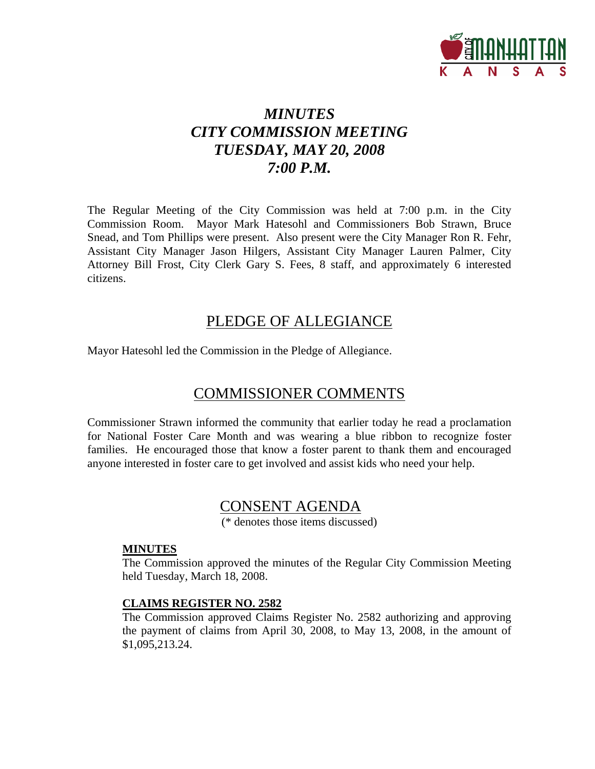

# *MINUTES CITY COMMISSION MEETING TUESDAY, MAY 20, 2008 7:00 P.M.*

The Regular Meeting of the City Commission was held at 7:00 p.m. in the City Commission Room. Mayor Mark Hatesohl and Commissioners Bob Strawn, Bruce Snead, and Tom Phillips were present. Also present were the City Manager Ron R. Fehr, Assistant City Manager Jason Hilgers, Assistant City Manager Lauren Palmer, City Attorney Bill Frost, City Clerk Gary S. Fees, 8 staff, and approximately 6 interested citizens.

# PLEDGE OF ALLEGIANCE

Mayor Hatesohl led the Commission in the Pledge of Allegiance.

# COMMISSIONER COMMENTS

Commissioner Strawn informed the community that earlier today he read a proclamation for National Foster Care Month and was wearing a blue ribbon to recognize foster families. He encouraged those that know a foster parent to thank them and encouraged anyone interested in foster care to get involved and assist kids who need your help.

# CONSENT AGENDA

(\* denotes those items discussed)

#### **MINUTES**

The Commission approved the minutes of the Regular City Commission Meeting held Tuesday, March 18, 2008.

## **CLAIMS REGISTER NO. 2582**

The Commission approved Claims Register No. 2582 authorizing and approving the payment of claims from April 30, 2008, to May 13, 2008, in the amount of \$1,095,213.24.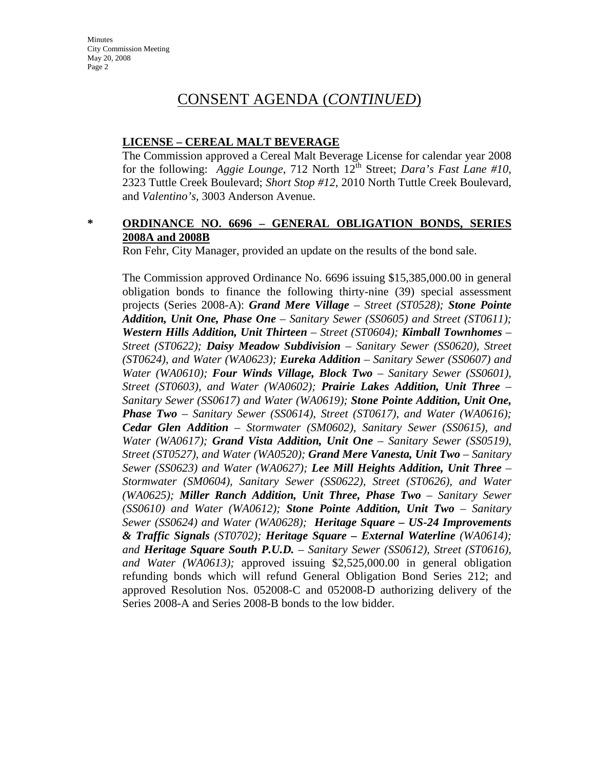# CONSENT AGENDA (*CONTINUED*)

#### **LICENSE – CEREAL MALT BEVERAGE**

The Commission approved a Cereal Malt Beverage License for calendar year 2008 for the following: *Aggie Lounge*, 712 North 12<sup>th</sup> Street; *Dara's Fast Lane* #10, 2323 Tuttle Creek Boulevard; *Short Stop #12*, 2010 North Tuttle Creek Boulevard, and *Valentino's,* 3003 Anderson Avenue.

## **\* ORDINANCE NO. 6696 – GENERAL OBLIGATION BONDS, SERIES 2008A and 2008B**

Ron Fehr, City Manager, provided an update on the results of the bond sale.

The Commission approved Ordinance No. 6696 issuing \$15,385,000.00 in general obligation bonds to finance the following thirty-nine (39) special assessment projects (Series 2008-A): *Grand Mere Village – Street (ST0528); Stone Pointe Addition, Unit One, Phase One – Sanitary Sewer (SS0605) and Street (ST0611); Western Hills Addition, Unit Thirteen – Street (ST0604); Kimball Townhomes – Street (ST0622); Daisy Meadow Subdivision – Sanitary Sewer (SS0620), Street (ST0624), and Water (WA0623); Eureka Addition – Sanitary Sewer (SS0607) and Water (WA0610); Four Winds Village, Block Two – Sanitary Sewer (SS0601), Street (ST0603), and Water (WA0602); Prairie Lakes Addition, Unit Three – Sanitary Sewer (SS0617) and Water (WA0619); Stone Pointe Addition, Unit One, Phase Two – Sanitary Sewer (SS0614), Street (ST0617), and Water (WA0616); Cedar Glen Addition – Stormwater (SM0602), Sanitary Sewer (SS0615), and Water (WA0617); Grand Vista Addition, Unit One – Sanitary Sewer (SS0519), Street (ST0527), and Water (WA0520); Grand Mere Vanesta, Unit Two – Sanitary Sewer (SS0623) and Water (WA0627); Lee Mill Heights Addition, Unit Three – Stormwater (SM0604), Sanitary Sewer (SS0622), Street (ST0626), and Water (WA0625); Miller Ranch Addition, Unit Three, Phase Two – Sanitary Sewer (SS0610) and Water (WA0612); Stone Pointe Addition, Unit Two – Sanitary Sewer (SS0624) and Water (WA0628); Heritage Square – US-24 Improvements & Traffic Signals (ST0702); Heritage Square – External Waterline (WA0614); and Heritage Square South P.U.D. – Sanitary Sewer (SS0612), Street (ST0616), and Water (WA0613);* approved issuing \$2,525,000.00 in general obligation refunding bonds which will refund General Obligation Bond Series 212; and approved Resolution Nos. 052008-C and 052008-D authorizing delivery of the Series 2008-A and Series 2008-B bonds to the low bidder.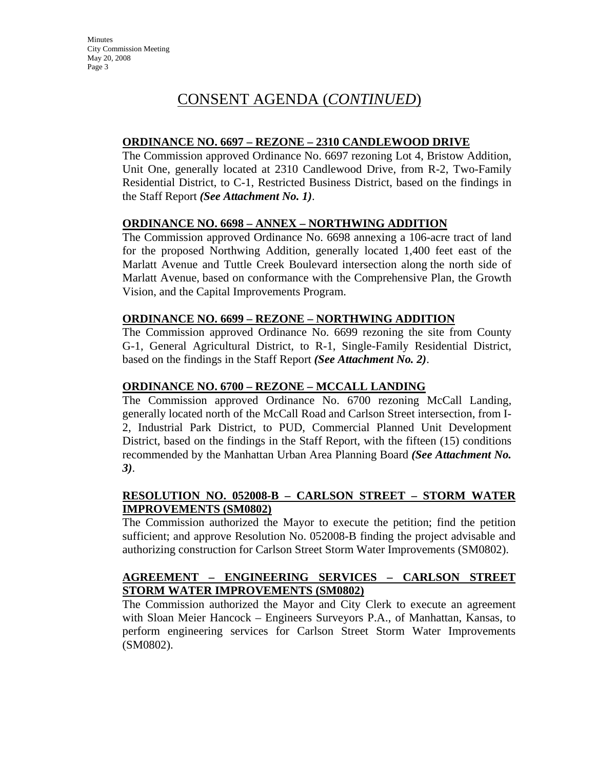# CONSENT AGENDA (*CONTINUED*)

## **ORDINANCE NO. 6697 – REZONE – 2310 CANDLEWOOD DRIVE**

The Commission approved Ordinance No. 6697 rezoning Lot 4, Bristow Addition, Unit One, generally located at 2310 Candlewood Drive, from R-2, Two-Family Residential District, to C-1, Restricted Business District, based on the findings in the Staff Report *(See Attachment No. 1)*.

# **ORDINANCE NO. 6698 – ANNEX – NORTHWING ADDITION**

The Commission approved Ordinance No. 6698 annexing a 106-acre tract of land for the proposed Northwing Addition, generally located 1,400 feet east of the Marlatt Avenue and Tuttle Creek Boulevard intersection along the north side of Marlatt Avenue, based on conformance with the Comprehensive Plan, the Growth Vision, and the Capital Improvements Program.

#### **ORDINANCE NO. 6699 – REZONE – NORTHWING ADDITION**

The Commission approved Ordinance No. 6699 rezoning the site from County G-1, General Agricultural District, to R-1, Single-Family Residential District, based on the findings in the Staff Report *(See Attachment No. 2)*.

## **ORDINANCE NO. 6700 – REZONE – MCCALL LANDING**

The Commission approved Ordinance No. 6700 rezoning McCall Landing, generally located north of the McCall Road and Carlson Street intersection, from I-2, Industrial Park District, to PUD, Commercial Planned Unit Development District, based on the findings in the Staff Report, with the fifteen (15) conditions recommended by the Manhattan Urban Area Planning Board *(See Attachment No. 3)*.

#### **RESOLUTION NO. 052008-B – CARLSON STREET – STORM WATER IMPROVEMENTS (SM0802)**

The Commission authorized the Mayor to execute the petition; find the petition sufficient; and approve Resolution No. 052008-B finding the project advisable and authorizing construction for Carlson Street Storm Water Improvements (SM0802).

## **AGREEMENT – ENGINEERING SERVICES – CARLSON STREET STORM WATER IMPROVEMENTS (SM0802)**

The Commission authorized the Mayor and City Clerk to execute an agreement with Sloan Meier Hancock – Engineers Surveyors P.A., of Manhattan, Kansas, to perform engineering services for Carlson Street Storm Water Improvements (SM0802).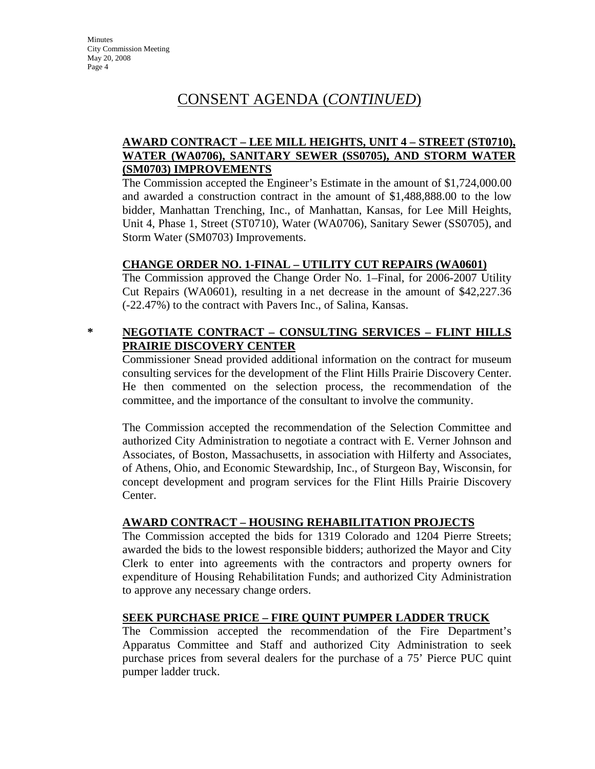# CONSENT AGENDA (*CONTINUED*)

# **AWARD CONTRACT – LEE MILL HEIGHTS, UNIT 4 – STREET (ST0710), WATER (WA0706), SANITARY SEWER (SS0705), AND STORM WATER (SM0703) IMPROVEMENTS**

The Commission accepted the Engineer's Estimate in the amount of \$1,724,000.00 and awarded a construction contract in the amount of \$1,488,888.00 to the low bidder, Manhattan Trenching, Inc., of Manhattan, Kansas, for Lee Mill Heights, Unit 4, Phase 1, Street (ST0710), Water (WA0706), Sanitary Sewer (SS0705), and Storm Water (SM0703) Improvements.

#### **CHANGE ORDER NO. 1-FINAL – UTILITY CUT REPAIRS (WA0601)**

The Commission approved the Change Order No. 1–Final, for 2006-2007 Utility Cut Repairs (WA0601), resulting in a net decrease in the amount of \$42,227.36 (-22.47%) to the contract with Pavers Inc., of Salina, Kansas.

#### **\* NEGOTIATE CONTRACT – CONSULTING SERVICES – FLINT HILLS PRAIRIE DISCOVERY CENTER**

Commissioner Snead provided additional information on the contract for museum consulting services for the development of the Flint Hills Prairie Discovery Center. He then commented on the selection process, the recommendation of the committee, and the importance of the consultant to involve the community.

The Commission accepted the recommendation of the Selection Committee and authorized City Administration to negotiate a contract with E. Verner Johnson and Associates, of Boston, Massachusetts, in association with Hilferty and Associates, of Athens, Ohio, and Economic Stewardship, Inc., of Sturgeon Bay, Wisconsin, for concept development and program services for the Flint Hills Prairie Discovery Center.

#### **AWARD CONTRACT – HOUSING REHABILITATION PROJECTS**

The Commission accepted the bids for 1319 Colorado and 1204 Pierre Streets; awarded the bids to the lowest responsible bidders; authorized the Mayor and City Clerk to enter into agreements with the contractors and property owners for expenditure of Housing Rehabilitation Funds; and authorized City Administration to approve any necessary change orders.

# **SEEK PURCHASE PRICE – FIRE QUINT PUMPER LADDER TRUCK**

The Commission accepted the recommendation of the Fire Department's Apparatus Committee and Staff and authorized City Administration to seek purchase prices from several dealers for the purchase of a 75' Pierce PUC quint pumper ladder truck.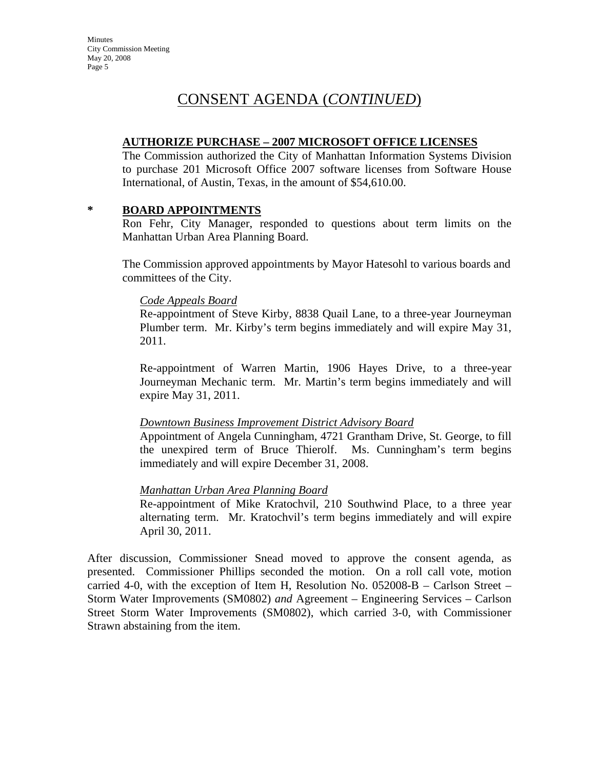# CONSENT AGENDA (*CONTINUED*)

#### **AUTHORIZE PURCHASE – 2007 MICROSOFT OFFICE LICENSES**

The Commission authorized the City of Manhattan Information Systems Division to purchase 201 Microsoft Office 2007 software licenses from Software House International, of Austin, Texas, in the amount of \$54,610.00.

#### **\* BOARD APPOINTMENTS**

Ron Fehr, City Manager, responded to questions about term limits on the Manhattan Urban Area Planning Board.

The Commission approved appointments by Mayor Hatesohl to various boards and committees of the City.

#### *Code Appeals Board*

Re-appointment of Steve Kirby, 8838 Quail Lane, to a three-year Journeyman Plumber term. Mr. Kirby's term begins immediately and will expire May 31, 2011.

Re-appointment of Warren Martin, 1906 Hayes Drive, to a three-year Journeyman Mechanic term. Mr. Martin's term begins immediately and will expire May 31, 2011.

#### *Downtown Business Improvement District Advisory Board*

Appointment of Angela Cunningham, 4721 Grantham Drive, St. George, to fill the unexpired term of Bruce Thierolf. Ms. Cunningham's term begins immediately and will expire December 31, 2008.

#### *Manhattan Urban Area Planning Board*

Re-appointment of Mike Kratochvil, 210 Southwind Place, to a three year alternating term. Mr. Kratochvil's term begins immediately and will expire April 30, 2011.

After discussion, Commissioner Snead moved to approve the consent agenda, as presented. Commissioner Phillips seconded the motion. On a roll call vote, motion carried 4-0, with the exception of Item H, Resolution No. 052008-B – Carlson Street – Storm Water Improvements (SM0802) *and* Agreement – Engineering Services – Carlson Street Storm Water Improvements (SM0802), which carried 3-0, with Commissioner Strawn abstaining from the item.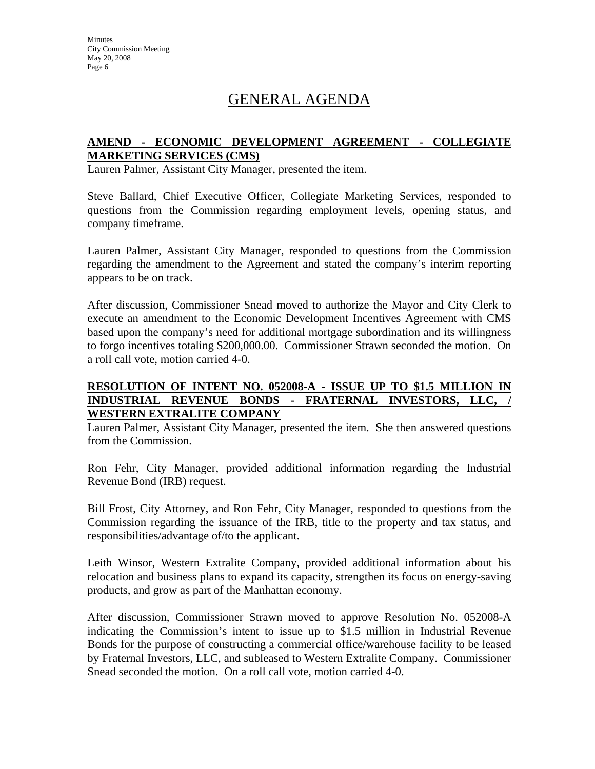# GENERAL AGENDA

# **AMEND - ECONOMIC DEVELOPMENT AGREEMENT - COLLEGIATE MARKETING SERVICES (CMS)**

Lauren Palmer, Assistant City Manager, presented the item.

Steve Ballard, Chief Executive Officer, Collegiate Marketing Services, responded to questions from the Commission regarding employment levels, opening status, and company timeframe.

Lauren Palmer, Assistant City Manager, responded to questions from the Commission regarding the amendment to the Agreement and stated the company's interim reporting appears to be on track.

After discussion, Commissioner Snead moved to authorize the Mayor and City Clerk to execute an amendment to the Economic Development Incentives Agreement with CMS based upon the company's need for additional mortgage subordination and its willingness to forgo incentives totaling \$200,000.00. Commissioner Strawn seconded the motion. On a roll call vote, motion carried 4-0.

#### **RESOLUTION OF INTENT NO. 052008-A - ISSUE UP TO \$1.5 MILLION IN INDUSTRIAL REVENUE BONDS - FRATERNAL INVESTORS, LLC, WESTERN EXTRALITE COMPANY**

Lauren Palmer, Assistant City Manager, presented the item. She then answered questions from the Commission.

Ron Fehr, City Manager, provided additional information regarding the Industrial Revenue Bond (IRB) request.

Bill Frost, City Attorney, and Ron Fehr, City Manager, responded to questions from the Commission regarding the issuance of the IRB, title to the property and tax status, and responsibilities/advantage of/to the applicant.

Leith Winsor, Western Extralite Company, provided additional information about his relocation and business plans to expand its capacity, strengthen its focus on energy-saving products, and grow as part of the Manhattan economy.

After discussion, Commissioner Strawn moved to approve Resolution No. 052008-A indicating the Commission's intent to issue up to \$1.5 million in Industrial Revenue Bonds for the purpose of constructing a commercial office/warehouse facility to be leased by Fraternal Investors, LLC, and subleased to Western Extralite Company. Commissioner Snead seconded the motion. On a roll call vote, motion carried 4-0.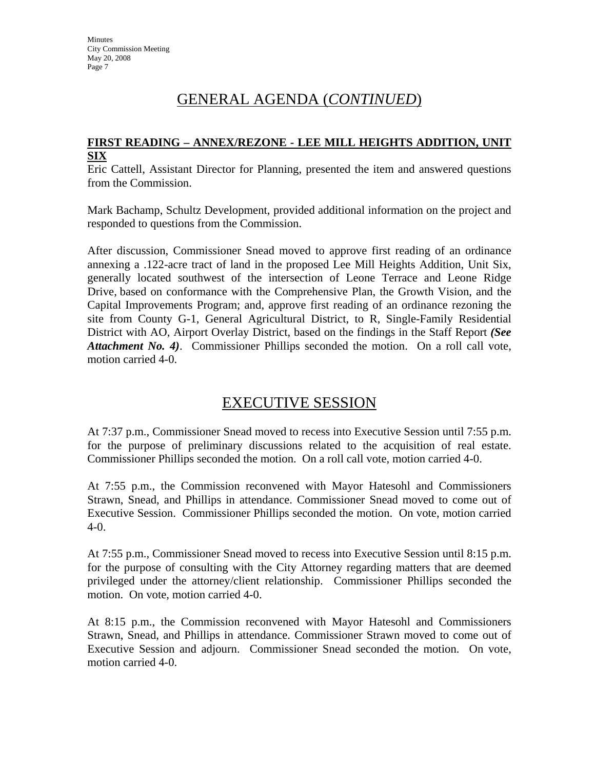# GENERAL AGENDA (*CONTINUED*)

# **FIRST READING – ANNEX/REZONE - LEE MILL HEIGHTS ADDITION, UNIT SIX**

Eric Cattell, Assistant Director for Planning, presented the item and answered questions from the Commission.

Mark Bachamp, Schultz Development, provided additional information on the project and responded to questions from the Commission.

After discussion, Commissioner Snead moved to approve first reading of an ordinance annexing a .122-acre tract of land in the proposed Lee Mill Heights Addition, Unit Six, generally located southwest of the intersection of Leone Terrace and Leone Ridge Drive, based on conformance with the Comprehensive Plan, the Growth Vision, and the Capital Improvements Program; and, approve first reading of an ordinance rezoning the site from County G-1, General Agricultural District, to R, Single-Family Residential District with AO, Airport Overlay District, based on the findings in the Staff Report *(See Attachment No. 4)*. Commissioner Phillips seconded the motion. On a roll call vote, motion carried 4-0.

# EXECUTIVE SESSION

At 7:37 p.m., Commissioner Snead moved to recess into Executive Session until 7:55 p.m. for the purpose of preliminary discussions related to the acquisition of real estate. Commissioner Phillips seconded the motion. On a roll call vote, motion carried 4-0.

At 7:55 p.m., the Commission reconvened with Mayor Hatesohl and Commissioners Strawn, Snead, and Phillips in attendance. Commissioner Snead moved to come out of Executive Session. Commissioner Phillips seconded the motion. On vote, motion carried 4-0.

At 7:55 p.m., Commissioner Snead moved to recess into Executive Session until 8:15 p.m. for the purpose of consulting with the City Attorney regarding matters that are deemed privileged under the attorney/client relationship. Commissioner Phillips seconded the motion. On vote, motion carried 4-0.

At 8:15 p.m., the Commission reconvened with Mayor Hatesohl and Commissioners Strawn, Snead, and Phillips in attendance. Commissioner Strawn moved to come out of Executive Session and adjourn. Commissioner Snead seconded the motion. On vote, motion carried 4-0.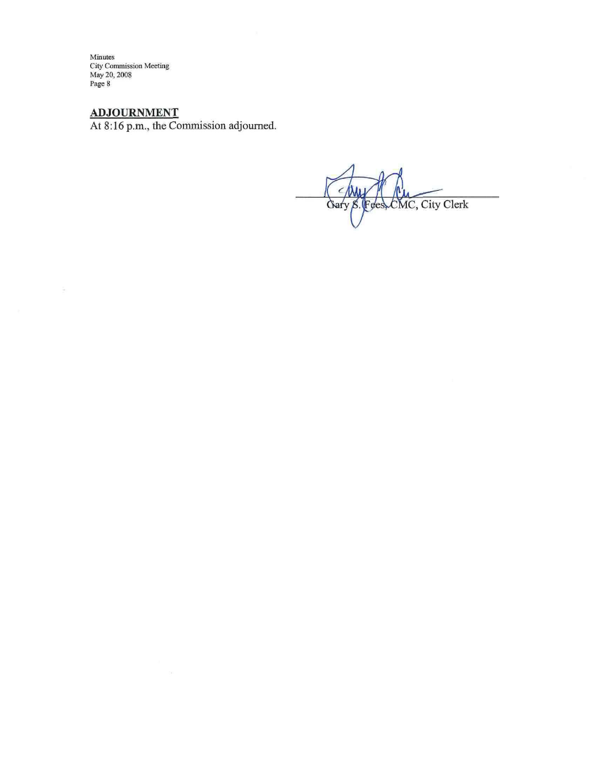Minutes<br>City Commission Meeting<br>May 20, 2008<br>Page 8

 $\tilde{\Xi}$ 

**ADJOURNMENT**<br>At 8:16 p.m., the Commission adjourned.

CMC, City Clerk Gary S. Fees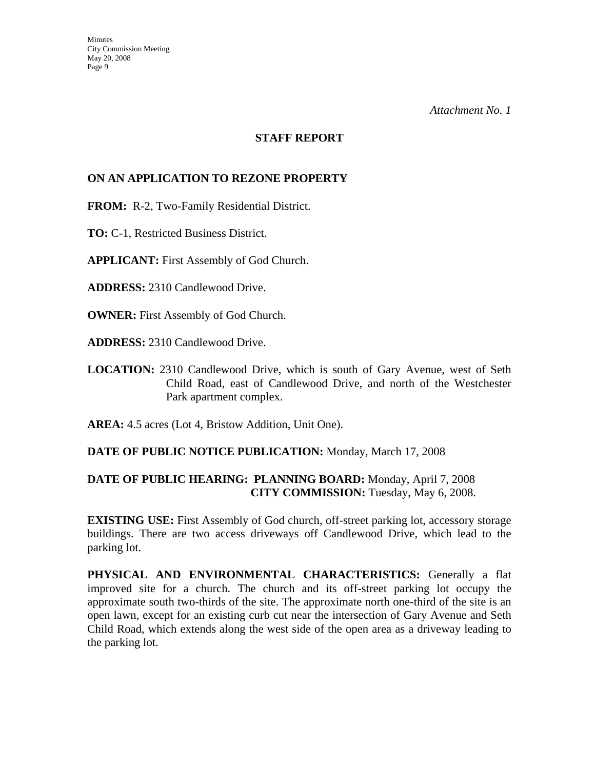#### **STAFF REPORT**

## **ON AN APPLICATION TO REZONE PROPERTY**

**FROM:** R-2, Two-Family Residential District.

**TO:** C-1, Restricted Business District.

**APPLICANT:** First Assembly of God Church.

**ADDRESS:** 2310 Candlewood Drive.

**OWNER:** First Assembly of God Church.

**ADDRESS:** 2310 Candlewood Drive.

**LOCATION:** 2310 Candlewood Drive, which is south of Gary Avenue, west of Seth Child Road, east of Candlewood Drive, and north of the Westchester Park apartment complex.

**AREA:** 4.5 acres (Lot 4, Bristow Addition, Unit One).

## **DATE OF PUBLIC NOTICE PUBLICATION:** Monday, March 17, 2008

## **DATE OF PUBLIC HEARING: PLANNING BOARD:** Monday, April 7, 2008 **CITY COMMISSION:** Tuesday, May 6, 2008.

**EXISTING USE:** First Assembly of God church, off-street parking lot, accessory storage buildings. There are two access driveways off Candlewood Drive, which lead to the parking lot.

**PHYSICAL AND ENVIRONMENTAL CHARACTERISTICS:** Generally a flat improved site for a church. The church and its off-street parking lot occupy the approximate south two-thirds of the site. The approximate north one-third of the site is an open lawn, except for an existing curb cut near the intersection of Gary Avenue and Seth Child Road, which extends along the west side of the open area as a driveway leading to the parking lot.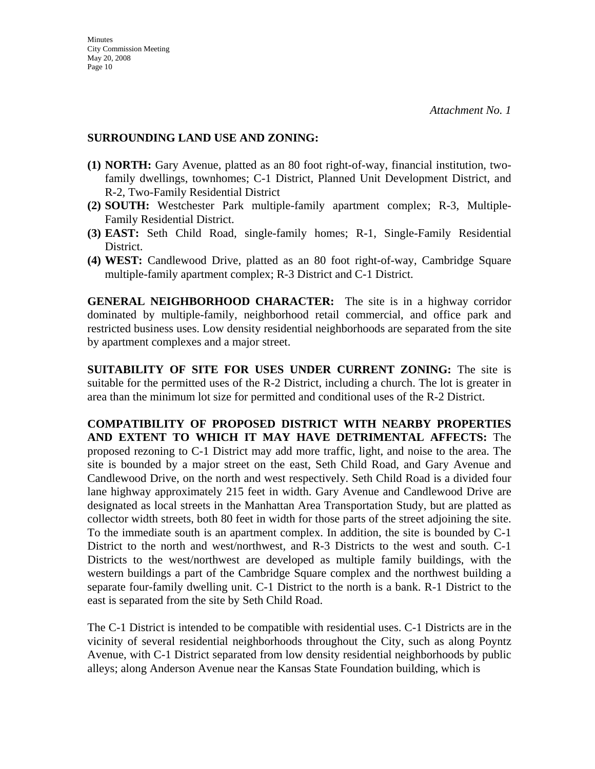#### **SURROUNDING LAND USE AND ZONING:**

- **(1) NORTH:** Gary Avenue, platted as an 80 foot right-of-way, financial institution, twofamily dwellings, townhomes; C-1 District, Planned Unit Development District, and R-2, Two-Family Residential District
- **(2) SOUTH:** Westchester Park multiple-family apartment complex; R-3, Multiple-Family Residential District.
- **(3) EAST:** Seth Child Road, single-family homes; R-1, Single-Family Residential District.
- **(4) WEST:** Candlewood Drive, platted as an 80 foot right-of-way, Cambridge Square multiple-family apartment complex; R-3 District and C-1 District.

**GENERAL NEIGHBORHOOD CHARACTER:** The site is in a highway corridor dominated by multiple-family, neighborhood retail commercial, and office park and restricted business uses. Low density residential neighborhoods are separated from the site by apartment complexes and a major street.

**SUITABILITY OF SITE FOR USES UNDER CURRENT ZONING:** The site is suitable for the permitted uses of the R-2 District, including a church. The lot is greater in area than the minimum lot size for permitted and conditional uses of the R-2 District.

**COMPATIBILITY OF PROPOSED DISTRICT WITH NEARBY PROPERTIES AND EXTENT TO WHICH IT MAY HAVE DETRIMENTAL AFFECTS:** The proposed rezoning to C-1 District may add more traffic, light, and noise to the area. The site is bounded by a major street on the east, Seth Child Road, and Gary Avenue and Candlewood Drive, on the north and west respectively. Seth Child Road is a divided four lane highway approximately 215 feet in width. Gary Avenue and Candlewood Drive are designated as local streets in the Manhattan Area Transportation Study, but are platted as collector width streets, both 80 feet in width for those parts of the street adjoining the site. To the immediate south is an apartment complex. In addition, the site is bounded by C-1 District to the north and west/northwest, and R-3 Districts to the west and south. C-1 Districts to the west/northwest are developed as multiple family buildings, with the western buildings a part of the Cambridge Square complex and the northwest building a separate four-family dwelling unit. C-1 District to the north is a bank. R-1 District to the east is separated from the site by Seth Child Road.

The C-1 District is intended to be compatible with residential uses. C-1 Districts are in the vicinity of several residential neighborhoods throughout the City, such as along Poyntz Avenue, with C-1 District separated from low density residential neighborhoods by public alleys; along Anderson Avenue near the Kansas State Foundation building, which is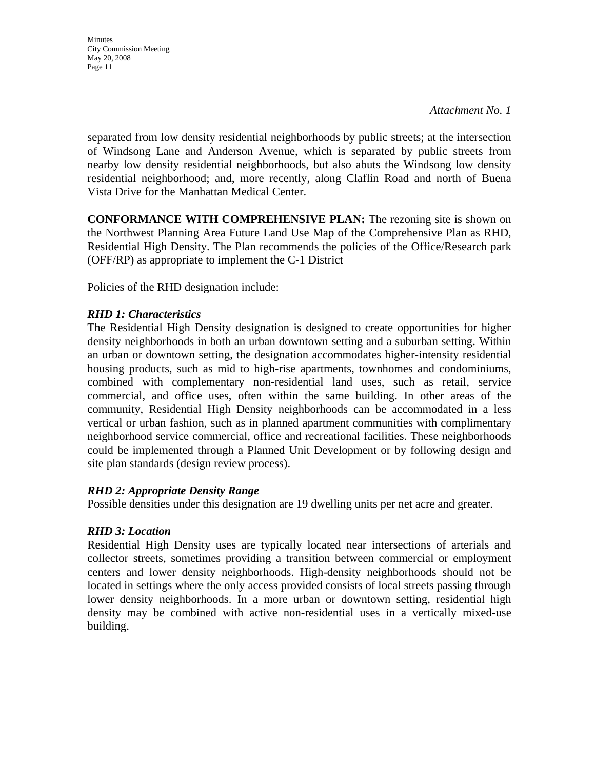*Attachment No. 1* 

separated from low density residential neighborhoods by public streets; at the intersection of Windsong Lane and Anderson Avenue, which is separated by public streets from nearby low density residential neighborhoods, but also abuts the Windsong low density residential neighborhood; and, more recently, along Claflin Road and north of Buena Vista Drive for the Manhattan Medical Center.

**CONFORMANCE WITH COMPREHENSIVE PLAN:** The rezoning site is shown on the Northwest Planning Area Future Land Use Map of the Comprehensive Plan as RHD, Residential High Density. The Plan recommends the policies of the Office/Research park (OFF/RP) as appropriate to implement the C-1 District

Policies of the RHD designation include:

## *RHD 1: Characteristics*

The Residential High Density designation is designed to create opportunities for higher density neighborhoods in both an urban downtown setting and a suburban setting. Within an urban or downtown setting, the designation accommodates higher-intensity residential housing products, such as mid to high-rise apartments, townhomes and condominiums, combined with complementary non-residential land uses, such as retail, service commercial, and office uses, often within the same building. In other areas of the community, Residential High Density neighborhoods can be accommodated in a less vertical or urban fashion, such as in planned apartment communities with complimentary neighborhood service commercial, office and recreational facilities. These neighborhoods could be implemented through a Planned Unit Development or by following design and site plan standards (design review process).

## *RHD 2: Appropriate Density Range*

Possible densities under this designation are 19 dwelling units per net acre and greater.

## *RHD 3: Location*

Residential High Density uses are typically located near intersections of arterials and collector streets, sometimes providing a transition between commercial or employment centers and lower density neighborhoods. High-density neighborhoods should not be located in settings where the only access provided consists of local streets passing through lower density neighborhoods. In a more urban or downtown setting, residential high density may be combined with active non-residential uses in a vertically mixed-use building.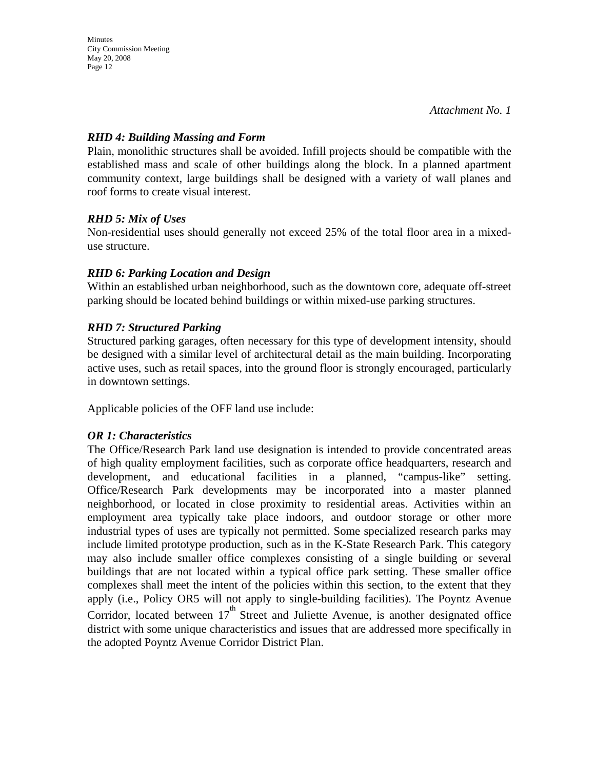**Minutes** 

*Attachment No. 1* 

#### *RHD 4: Building Massing and Form*

Plain, monolithic structures shall be avoided. Infill projects should be compatible with the established mass and scale of other buildings along the block. In a planned apartment community context, large buildings shall be designed with a variety of wall planes and roof forms to create visual interest.

#### *RHD 5: Mix of Uses*

Non-residential uses should generally not exceed 25% of the total floor area in a mixeduse structure.

#### *RHD 6: Parking Location and Design*

Within an established urban neighborhood, such as the downtown core, adequate off-street parking should be located behind buildings or within mixed-use parking structures.

#### *RHD 7: Structured Parking*

Structured parking garages, often necessary for this type of development intensity, should be designed with a similar level of architectural detail as the main building. Incorporating active uses, such as retail spaces, into the ground floor is strongly encouraged, particularly in downtown settings.

Applicable policies of the OFF land use include:

#### *OR 1: Characteristics*

The Office/Research Park land use designation is intended to provide concentrated areas of high quality employment facilities, such as corporate office headquarters, research and development, and educational facilities in a planned, "campus-like" setting. Office/Research Park developments may be incorporated into a master planned neighborhood, or located in close proximity to residential areas. Activities within an employment area typically take place indoors, and outdoor storage or other more industrial types of uses are typically not permitted. Some specialized research parks may include limited prototype production, such as in the K-State Research Park. This category may also include smaller office complexes consisting of a single building or several buildings that are not located within a typical office park setting. These smaller office complexes shall meet the intent of the policies within this section, to the extent that they apply (i.e., Policy OR5 will not apply to single-building facilities). The Poyntz Avenue Corridor, located between  $17<sup>th</sup>$  Street and Juliette Avenue, is another designated office district with some unique characteristics and issues that are addressed more specifically in the adopted Poyntz Avenue Corridor District Plan.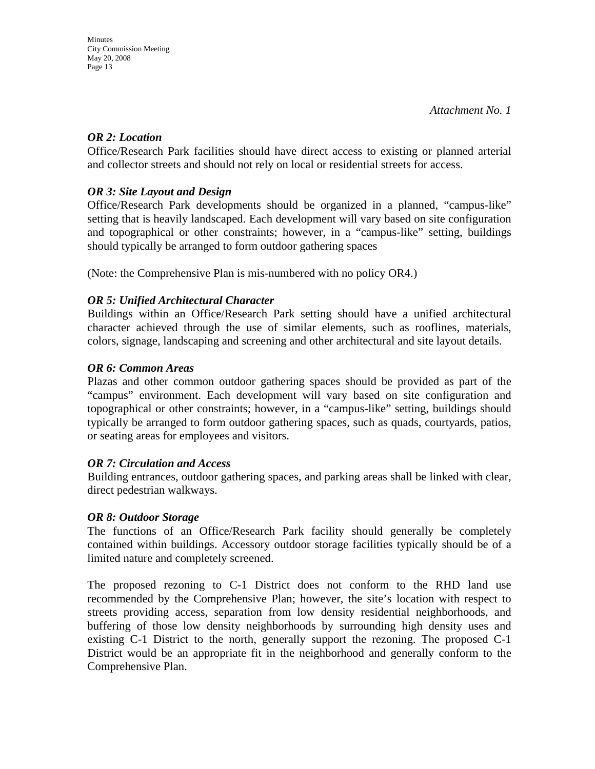## *OR 2: Location*

Office/Research Park facilities should have direct access to existing or planned arterial and collector streets and should not rely on local or residential streets for access.

#### *OR 3: Site Layout and Design*

Office/Research Park developments should be organized in a planned, "campus-like" setting that is heavily landscaped. Each development will vary based on site configuration and topographical or other constraints; however, in a "campus-like" setting, buildings should typically be arranged to form outdoor gathering spaces

(Note: the Comprehensive Plan is mis-numbered with no policy OR4.)

## *OR 5: Unified Architectural Character*

Buildings within an Office/Research Park setting should have a unified architectural character achieved through the use of similar elements, such as rooflines, materials, colors, signage, landscaping and screening and other architectural and site layout details.

#### *OR 6: Common Areas*

Plazas and other common outdoor gathering spaces should be provided as part of the "campus" environment. Each development will vary based on site configuration and topographical or other constraints; however, in a "campus-like" setting, buildings should typically be arranged to form outdoor gathering spaces, such as quads, courtyards, patios, or seating areas for employees and visitors.

## *OR 7: Circulation and Access*

Building entrances, outdoor gathering spaces, and parking areas shall be linked with clear, direct pedestrian walkways.

## *OR 8: Outdoor Storage*

The functions of an Office/Research Park facility should generally be completely contained within buildings. Accessory outdoor storage facilities typically should be of a limited nature and completely screened.

The proposed rezoning to C-1 District does not conform to the RHD land use recommended by the Comprehensive Plan; however, the site's location with respect to streets providing access, separation from low density residential neighborhoods, and buffering of those low density neighborhoods by surrounding high density uses and existing C-1 District to the north, generally support the rezoning. The proposed C-1 District would be an appropriate fit in the neighborhood and generally conform to the Comprehensive Plan.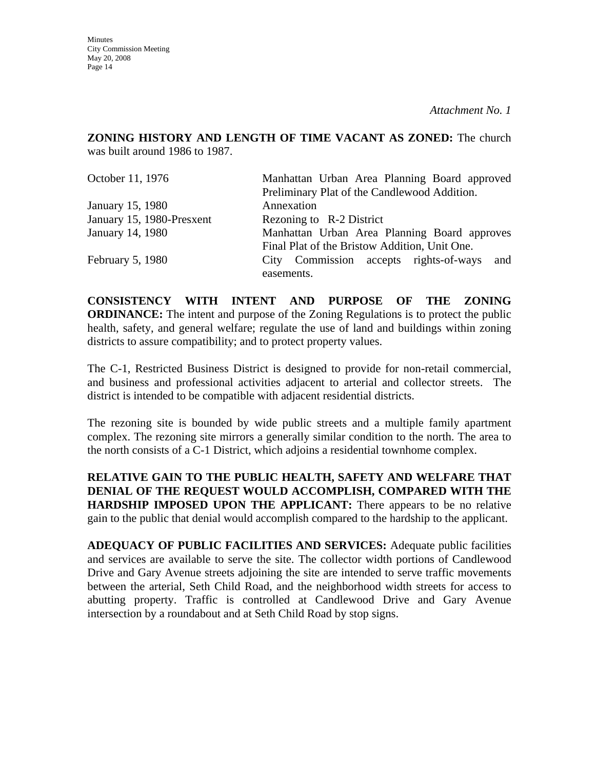**Minutes** City Commission Meeting May 20, 2008 Page 14

**ZONING HISTORY AND LENGTH OF TIME VACANT AS ZONED:** The church was built around 1986 to 1987.

| October 11, 1976          | Manhattan Urban Area Planning Board approved  |  |  |
|---------------------------|-----------------------------------------------|--|--|
|                           | Preliminary Plat of the Candlewood Addition.  |  |  |
| January 15, 1980          | Annexation                                    |  |  |
| January 15, 1980-Presxent | Rezoning to R-2 District                      |  |  |
| January 14, 1980          | Manhattan Urban Area Planning Board approves  |  |  |
|                           | Final Plat of the Bristow Addition, Unit One. |  |  |
| February 5, 1980          | City Commission accepts rights-of-ways and    |  |  |
|                           | easements.                                    |  |  |

**CONSISTENCY WITH INTENT AND PURPOSE OF THE ZONING ORDINANCE:** The intent and purpose of the Zoning Regulations is to protect the public health, safety, and general welfare; regulate the use of land and buildings within zoning districts to assure compatibility; and to protect property values.

The C-1, Restricted Business District is designed to provide for non-retail commercial, and business and professional activities adjacent to arterial and collector streets. The district is intended to be compatible with adjacent residential districts.

The rezoning site is bounded by wide public streets and a multiple family apartment complex. The rezoning site mirrors a generally similar condition to the north. The area to the north consists of a C-1 District, which adjoins a residential townhome complex.

**RELATIVE GAIN TO THE PUBLIC HEALTH, SAFETY AND WELFARE THAT DENIAL OF THE REQUEST WOULD ACCOMPLISH, COMPARED WITH THE HARDSHIP IMPOSED UPON THE APPLICANT:** There appears to be no relative gain to the public that denial would accomplish compared to the hardship to the applicant.

**ADEQUACY OF PUBLIC FACILITIES AND SERVICES:** Adequate public facilities and services are available to serve the site. The collector width portions of Candlewood Drive and Gary Avenue streets adjoining the site are intended to serve traffic movements between the arterial, Seth Child Road, and the neighborhood width streets for access to abutting property. Traffic is controlled at Candlewood Drive and Gary Avenue intersection by a roundabout and at Seth Child Road by stop signs.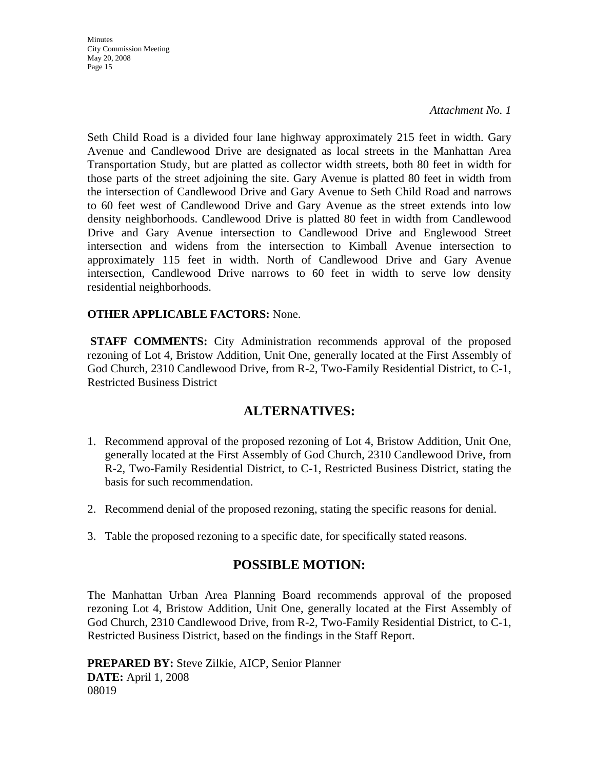*Attachment No. 1* 

Seth Child Road is a divided four lane highway approximately 215 feet in width. Gary Avenue and Candlewood Drive are designated as local streets in the Manhattan Area Transportation Study, but are platted as collector width streets, both 80 feet in width for those parts of the street adjoining the site. Gary Avenue is platted 80 feet in width from the intersection of Candlewood Drive and Gary Avenue to Seth Child Road and narrows to 60 feet west of Candlewood Drive and Gary Avenue as the street extends into low density neighborhoods. Candlewood Drive is platted 80 feet in width from Candlewood Drive and Gary Avenue intersection to Candlewood Drive and Englewood Street intersection and widens from the intersection to Kimball Avenue intersection to approximately 115 feet in width. North of Candlewood Drive and Gary Avenue intersection, Candlewood Drive narrows to 60 feet in width to serve low density residential neighborhoods.

## **OTHER APPLICABLE FACTORS:** None.

**STAFF COMMENTS:** City Administration recommends approval of the proposed rezoning of Lot 4, Bristow Addition, Unit One, generally located at the First Assembly of God Church, 2310 Candlewood Drive, from R-2, Two-Family Residential District, to C-1, Restricted Business District

# **ALTERNATIVES:**

- 1. Recommend approval of the proposed rezoning of Lot 4, Bristow Addition, Unit One, generally located at the First Assembly of God Church, 2310 Candlewood Drive, from R-2, Two-Family Residential District, to C-1, Restricted Business District, stating the basis for such recommendation.
- 2. Recommend denial of the proposed rezoning, stating the specific reasons for denial.
- 3. Table the proposed rezoning to a specific date, for specifically stated reasons.

# **POSSIBLE MOTION:**

The Manhattan Urban Area Planning Board recommends approval of the proposed rezoning Lot 4, Bristow Addition, Unit One, generally located at the First Assembly of God Church, 2310 Candlewood Drive, from R-2, Two-Family Residential District, to C-1, Restricted Business District, based on the findings in the Staff Report.

**PREPARED BY:** Steve Zilkie, AICP, Senior Planner **DATE:** April 1, 2008 08019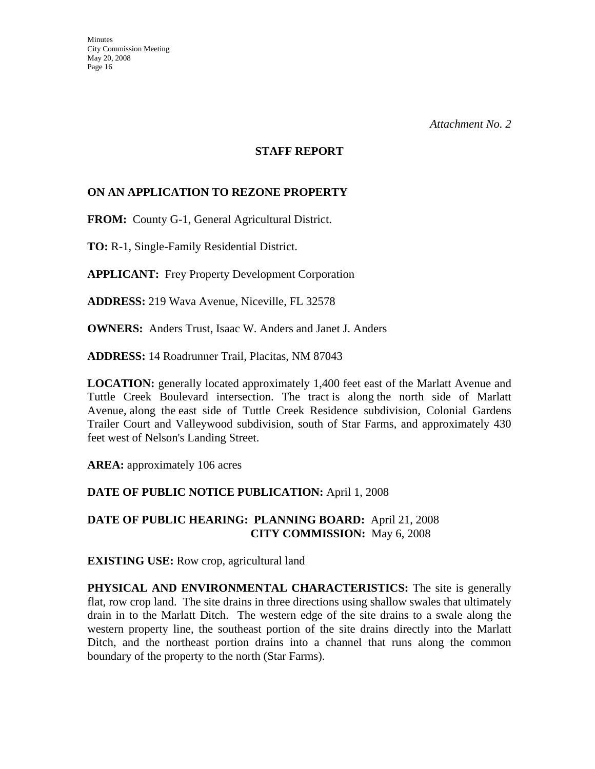#### **STAFF REPORT**

## **ON AN APPLICATION TO REZONE PROPERTY**

**FROM:** County G-1, General Agricultural District.

**TO:** R-1, Single-Family Residential District.

**APPLICANT:** Frey Property Development Corporation

**ADDRESS:** 219 Wava Avenue, Niceville, FL 32578

**OWNERS:** Anders Trust, Isaac W. Anders and Janet J. Anders

**ADDRESS:** 14 Roadrunner Trail, Placitas, NM 87043

**LOCATION:** generally located approximately 1,400 feet east of the Marlatt Avenue and Tuttle Creek Boulevard intersection. The tract is along the north side of Marlatt Avenue, along the east side of Tuttle Creek Residence subdivision, Colonial Gardens Trailer Court and Valleywood subdivision, south of Star Farms, and approximately 430 feet west of Nelson's Landing Street.

**AREA:** approximately 106 acres

## **DATE OF PUBLIC NOTICE PUBLICATION:** April 1, 2008

**DATE OF PUBLIC HEARING: PLANNING BOARD:** April 21, 2008 **CITY COMMISSION:** May 6, 2008

**EXISTING USE:** Row crop, agricultural land

**PHYSICAL AND ENVIRONMENTAL CHARACTERISTICS:** The site is generally flat, row crop land. The site drains in three directions using shallow swales that ultimately drain in to the Marlatt Ditch. The western edge of the site drains to a swale along the western property line, the southeast portion of the site drains directly into the Marlatt Ditch, and the northeast portion drains into a channel that runs along the common boundary of the property to the north (Star Farms).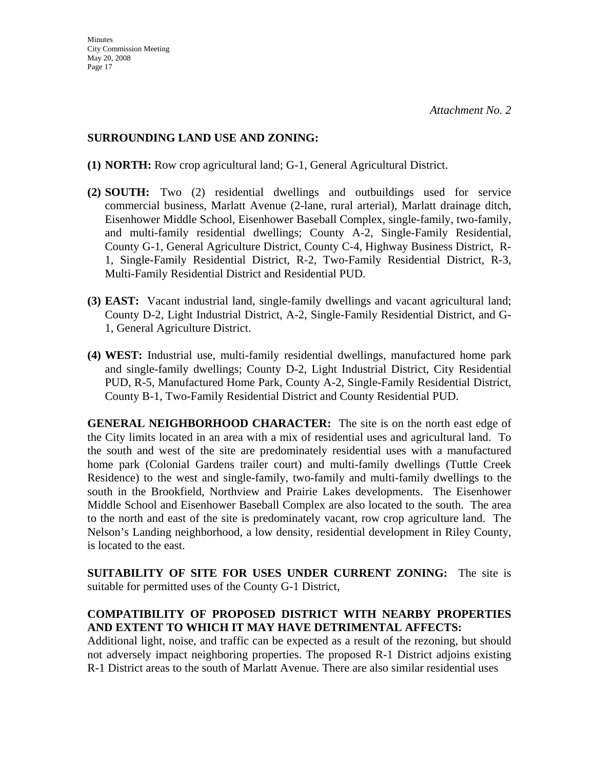#### **SURROUNDING LAND USE AND ZONING:**

- **(1) NORTH:** Row crop agricultural land; G-1, General Agricultural District.
- **(2) SOUTH:** Two (2) residential dwellings and outbuildings used for service commercial business, Marlatt Avenue (2-lane, rural arterial), Marlatt drainage ditch, Eisenhower Middle School, Eisenhower Baseball Complex, single-family, two-family, and multi-family residential dwellings; County A-2, Single-Family Residential, County G-1, General Agriculture District, County C-4, Highway Business District, R-1, Single-Family Residential District, R-2, Two-Family Residential District, R-3, Multi-Family Residential District and Residential PUD.
- **(3) EAST:** Vacant industrial land, single-family dwellings and vacant agricultural land; County D-2, Light Industrial District, A-2, Single-Family Residential District, and G-1, General Agriculture District.
- **(4) WEST:** Industrial use, multi-family residential dwellings, manufactured home park and single-family dwellings; County D-2, Light Industrial District, City Residential PUD, R-5, Manufactured Home Park, County A-2, Single-Family Residential District, County B-1, Two-Family Residential District and County Residential PUD.

**GENERAL NEIGHBORHOOD CHARACTER:** The site is on the north east edge of the City limits located in an area with a mix of residential uses and agricultural land. To the south and west of the site are predominately residential uses with a manufactured home park (Colonial Gardens trailer court) and multi-family dwellings (Tuttle Creek Residence) to the west and single-family, two-family and multi-family dwellings to the south in the Brookfield, Northview and Prairie Lakes developments. The Eisenhower Middle School and Eisenhower Baseball Complex are also located to the south. The area to the north and east of the site is predominately vacant, row crop agriculture land. The Nelson's Landing neighborhood, a low density, residential development in Riley County, is located to the east.

**SUITABILITY OF SITE FOR USES UNDER CURRENT ZONING:** The site is suitable for permitted uses of the County G-1 District,

# **COMPATIBILITY OF PROPOSED DISTRICT WITH NEARBY PROPERTIES AND EXTENT TO WHICH IT MAY HAVE DETRIMENTAL AFFECTS:**

Additional light, noise, and traffic can be expected as a result of the rezoning, but should not adversely impact neighboring properties. The proposed R-1 District adjoins existing R-1 District areas to the south of Marlatt Avenue. There are also similar residential uses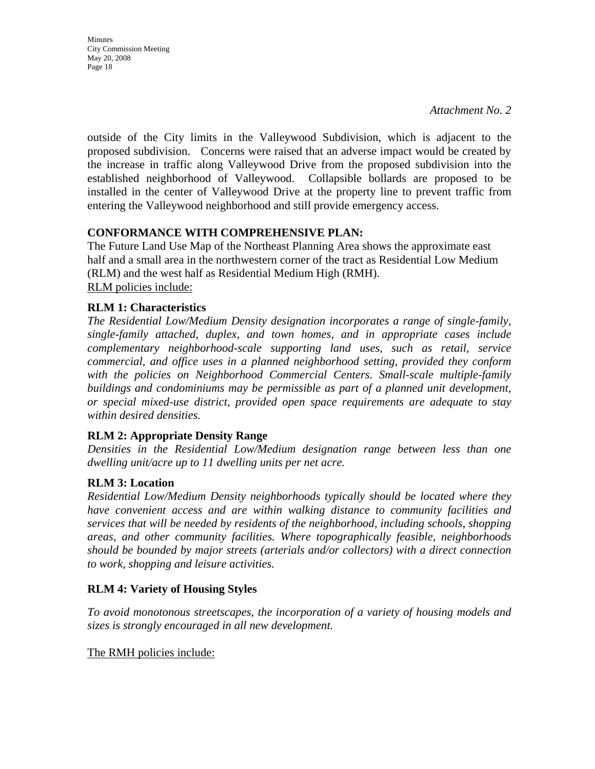outside of the City limits in the Valleywood Subdivision, which is adjacent to the proposed subdivision. Concerns were raised that an adverse impact would be created by the increase in traffic along Valleywood Drive from the proposed subdivision into the established neighborhood of Valleywood. Collapsible bollards are proposed to be installed in the center of Valleywood Drive at the property line to prevent traffic from entering the Valleywood neighborhood and still provide emergency access.

# **CONFORMANCE WITH COMPREHENSIVE PLAN:**

The Future Land Use Map of the Northeast Planning Area shows the approximate east half and a small area in the northwestern corner of the tract as Residential Low Medium (RLM) and the west half as Residential Medium High (RMH). RLM policies include:

## **RLM 1: Characteristics**

**Minutes** 

May 20, 2008 Page 18

City Commission Meeting

*The Residential Low/Medium Density designation incorporates a range of single-family, single-family attached, duplex, and town homes, and in appropriate cases include complementary neighborhood-scale supporting land uses, such as retail, service commercial, and office uses in a planned neighborhood setting, provided they conform*  with the policies on Neighborhood Commercial Centers. Small-scale multiple-family *buildings and condominiums may be permissible as part of a planned unit development, or special mixed-use district, provided open space requirements are adequate to stay within desired densities.* 

## **RLM 2: Appropriate Density Range**

*Densities in the Residential Low/Medium designation range between less than one dwelling unit/acre up to 11 dwelling units per net acre.* 

## **RLM 3: Location**

*Residential Low/Medium Density neighborhoods typically should be located where they have convenient access and are within walking distance to community facilities and services that will be needed by residents of the neighborhood, including schools, shopping areas, and other community facilities. Where topographically feasible, neighborhoods should be bounded by major streets (arterials and/or collectors) with a direct connection to work, shopping and leisure activities.* 

## **RLM 4: Variety of Housing Styles**

*To avoid monotonous streetscapes, the incorporation of a variety of housing models and sizes is strongly encouraged in all new development.* 

The RMH policies include: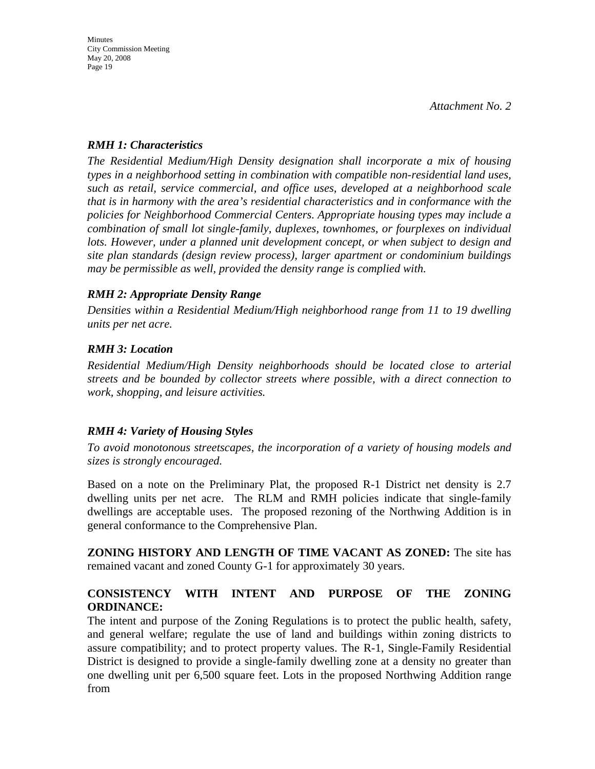#### *RMH 1: Characteristics*

*The Residential Medium/High Density designation shall incorporate a mix of housing types in a neighborhood setting in combination with compatible non-residential land uses, such as retail, service commercial, and office uses, developed at a neighborhood scale that is in harmony with the area's residential characteristics and in conformance with the policies for Neighborhood Commercial Centers. Appropriate housing types may include a combination of small lot single-family, duplexes, townhomes, or fourplexes on individual lots. However, under a planned unit development concept, or when subject to design and site plan standards (design review process), larger apartment or condominium buildings may be permissible as well, provided the density range is complied with.* 

# *RMH 2: Appropriate Density Range*

*Densities within a Residential Medium/High neighborhood range from 11 to 19 dwelling units per net acre.* 

# *RMH 3: Location*

*Residential Medium/High Density neighborhoods should be located close to arterial streets and be bounded by collector streets where possible, with a direct connection to work, shopping, and leisure activities.* 

# *RMH 4: Variety of Housing Styles*

*To avoid monotonous streetscapes, the incorporation of a variety of housing models and sizes is strongly encouraged.* 

Based on a note on the Preliminary Plat, the proposed R-1 District net density is 2.7 dwelling units per net acre. The RLM and RMH policies indicate that single-family dwellings are acceptable uses. The proposed rezoning of the Northwing Addition is in general conformance to the Comprehensive Plan.

**ZONING HISTORY AND LENGTH OF TIME VACANT AS ZONED:** The site has remained vacant and zoned County G-1 for approximately 30 years.

# **CONSISTENCY WITH INTENT AND PURPOSE OF THE ZONING ORDINANCE:**

The intent and purpose of the Zoning Regulations is to protect the public health, safety, and general welfare; regulate the use of land and buildings within zoning districts to assure compatibility; and to protect property values. The R-1, Single-Family Residential District is designed to provide a single-family dwelling zone at a density no greater than one dwelling unit per 6,500 square feet. Lots in the proposed Northwing Addition range from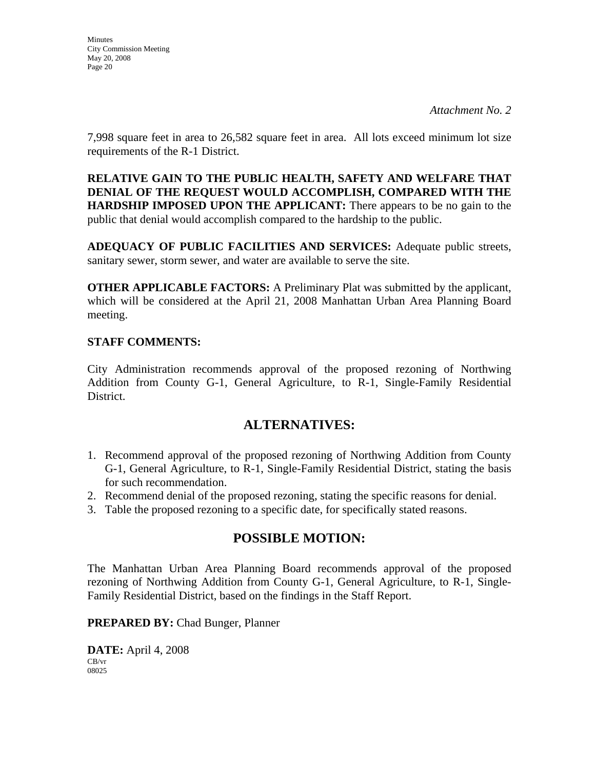*Attachment No. 2* 

7,998 square feet in area to 26,582 square feet in area. All lots exceed minimum lot size requirements of the R-1 District.

**RELATIVE GAIN TO THE PUBLIC HEALTH, SAFETY AND WELFARE THAT DENIAL OF THE REQUEST WOULD ACCOMPLISH, COMPARED WITH THE HARDSHIP IMPOSED UPON THE APPLICANT:** There appears to be no gain to the public that denial would accomplish compared to the hardship to the public.

**ADEQUACY OF PUBLIC FACILITIES AND SERVICES:** Adequate public streets, sanitary sewer, storm sewer, and water are available to serve the site.

**OTHER APPLICABLE FACTORS:** A Preliminary Plat was submitted by the applicant, which will be considered at the April 21, 2008 Manhattan Urban Area Planning Board meeting.

## **STAFF COMMENTS:**

City Administration recommends approval of the proposed rezoning of Northwing Addition from County G-1, General Agriculture, to R-1, Single-Family Residential District.

# **ALTERNATIVES:**

- 1. Recommend approval of the proposed rezoning of Northwing Addition from County G-1, General Agriculture, to R-1, Single-Family Residential District, stating the basis for such recommendation.
- 2. Recommend denial of the proposed rezoning, stating the specific reasons for denial.
- 3. Table the proposed rezoning to a specific date, for specifically stated reasons.

# **POSSIBLE MOTION:**

The Manhattan Urban Area Planning Board recommends approval of the proposed rezoning of Northwing Addition from County G-1, General Agriculture, to R-1, Single-Family Residential District, based on the findings in the Staff Report.

**PREPARED BY:** Chad Bunger, Planner

**DATE:** April 4, 2008 CB/vr 08025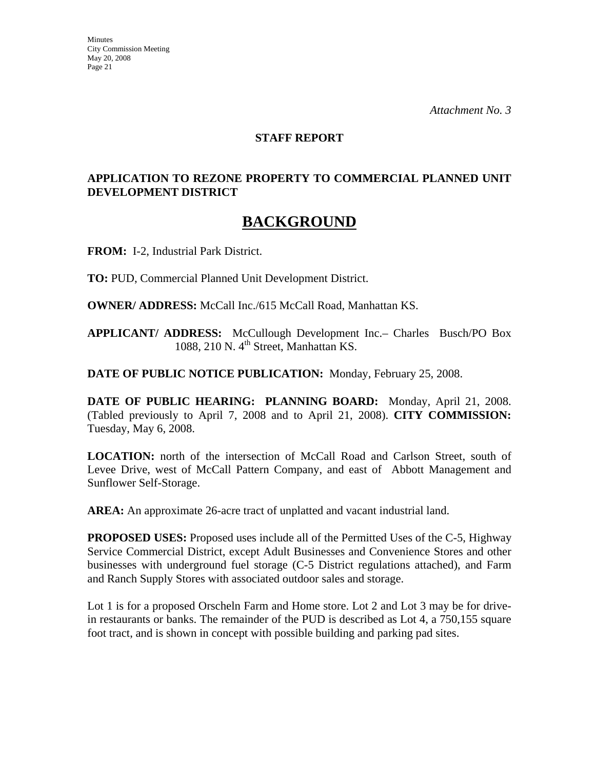#### **STAFF REPORT**

## **APPLICATION TO REZONE PROPERTY TO COMMERCIAL PLANNED UNIT DEVELOPMENT DISTRICT**

# **BACKGROUND**

**FROM:** I-2, Industrial Park District.

**TO:** PUD, Commercial Planned Unit Development District.

**OWNER/ ADDRESS:** McCall Inc./615 McCall Road, Manhattan KS.

**APPLICANT/ ADDRESS:** McCullough Development Inc.– Charles Busch/PO Box 1088, 210 N.  $4<sup>th</sup>$  Street, Manhattan KS.

**DATE OF PUBLIC NOTICE PUBLICATION:** Monday, February 25, 2008.

**DATE OF PUBLIC HEARING: PLANNING BOARD:** Monday, April 21, 2008. (Tabled previously to April 7, 2008 and to April 21, 2008). **CITY COMMISSION:** Tuesday, May 6, 2008.

**LOCATION:** north of the intersection of McCall Road and Carlson Street, south of Levee Drive, west of McCall Pattern Company, and east of Abbott Management and Sunflower Self-Storage.

**AREA:** An approximate 26-acre tract of unplatted and vacant industrial land.

**PROPOSED USES:** Proposed uses include all of the Permitted Uses of the C-5, Highway Service Commercial District, except Adult Businesses and Convenience Stores and other businesses with underground fuel storage (C-5 District regulations attached), and Farm and Ranch Supply Stores with associated outdoor sales and storage.

Lot 1 is for a proposed Orscheln Farm and Home store. Lot 2 and Lot 3 may be for drivein restaurants or banks. The remainder of the PUD is described as Lot 4, a 750,155 square foot tract, and is shown in concept with possible building and parking pad sites.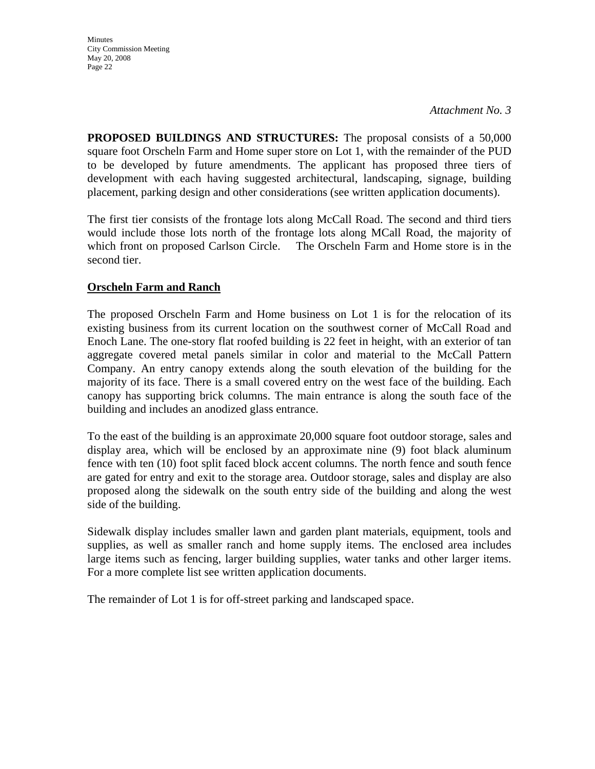**Minutes** City Commission Meeting May 20, 2008 Page 22

**PROPOSED BUILDINGS AND STRUCTURES:** The proposal consists of a 50,000 square foot Orscheln Farm and Home super store on Lot 1, with the remainder of the PUD to be developed by future amendments. The applicant has proposed three tiers of development with each having suggested architectural, landscaping, signage, building placement, parking design and other considerations (see written application documents).

The first tier consists of the frontage lots along McCall Road. The second and third tiers would include those lots north of the frontage lots along MCall Road, the majority of which front on proposed Carlson Circle. The Orscheln Farm and Home store is in the second tier.

# **Orscheln Farm and Ranch**

The proposed Orscheln Farm and Home business on Lot 1 is for the relocation of its existing business from its current location on the southwest corner of McCall Road and Enoch Lane. The one-story flat roofed building is 22 feet in height, with an exterior of tan aggregate covered metal panels similar in color and material to the McCall Pattern Company. An entry canopy extends along the south elevation of the building for the majority of its face. There is a small covered entry on the west face of the building. Each canopy has supporting brick columns. The main entrance is along the south face of the building and includes an anodized glass entrance.

To the east of the building is an approximate 20,000 square foot outdoor storage, sales and display area, which will be enclosed by an approximate nine (9) foot black aluminum fence with ten (10) foot split faced block accent columns. The north fence and south fence are gated for entry and exit to the storage area. Outdoor storage, sales and display are also proposed along the sidewalk on the south entry side of the building and along the west side of the building.

Sidewalk display includes smaller lawn and garden plant materials, equipment, tools and supplies, as well as smaller ranch and home supply items. The enclosed area includes large items such as fencing, larger building supplies, water tanks and other larger items. For a more complete list see written application documents.

The remainder of Lot 1 is for off-street parking and landscaped space.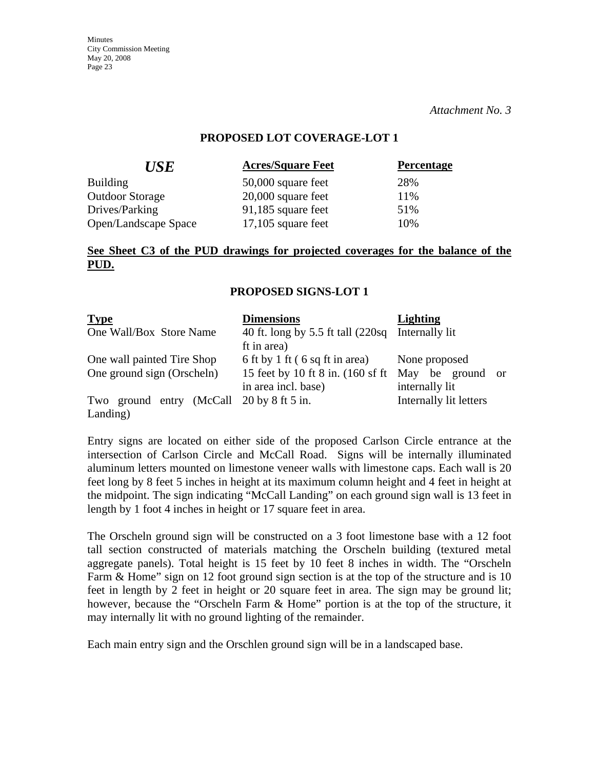*Attachment No. 3* 

#### **PROPOSED LOT COVERAGE-LOT 1**

| <b>Acres/Square Feet</b> | <b>Percentage</b> |
|--------------------------|-------------------|
| 50,000 square feet       | 28%               |
| $20,000$ square feet     | 11%               |
| 91,185 square feet       | 51%               |
| $17,105$ square feet     | 10%               |
|                          |                   |

## **See Sheet C3 of the PUD drawings for projected coverages for the balance of the PUD.**

#### **PROPOSED SIGNS-LOT 1**

| <b>Type</b>                                              | <b>Dimensions</b>                                                                           | <b>Lighting</b>                                     |
|----------------------------------------------------------|---------------------------------------------------------------------------------------------|-----------------------------------------------------|
| One Wall/Box Store Name                                  | 40 ft. long by 5.5 ft tall (220sq Internally lit<br>ft in area)                             |                                                     |
| One wall painted Tire Shop<br>One ground sign (Orscheln) | 6 ft by 1 ft (6 sq ft in area)<br>15 feet by 10 ft 8 in. (160 sf ft)<br>in area incl. base) | None proposed<br>May be ground or<br>internally lit |
| Two ground entry (McCall 20 by 8 ft 5 in.<br>Landing)    |                                                                                             | Internally lit letters                              |

Entry signs are located on either side of the proposed Carlson Circle entrance at the intersection of Carlson Circle and McCall Road. Signs will be internally illuminated aluminum letters mounted on limestone veneer walls with limestone caps. Each wall is 20 feet long by 8 feet 5 inches in height at its maximum column height and 4 feet in height at the midpoint. The sign indicating "McCall Landing" on each ground sign wall is 13 feet in length by 1 foot 4 inches in height or 17 square feet in area.

The Orscheln ground sign will be constructed on a 3 foot limestone base with a 12 foot tall section constructed of materials matching the Orscheln building (textured metal aggregate panels). Total height is 15 feet by 10 feet 8 inches in width. The "Orscheln Farm & Home" sign on 12 foot ground sign section is at the top of the structure and is 10 feet in length by 2 feet in height or 20 square feet in area. The sign may be ground lit; however, because the "Orscheln Farm & Home" portion is at the top of the structure, it may internally lit with no ground lighting of the remainder.

Each main entry sign and the Orschlen ground sign will be in a landscaped base.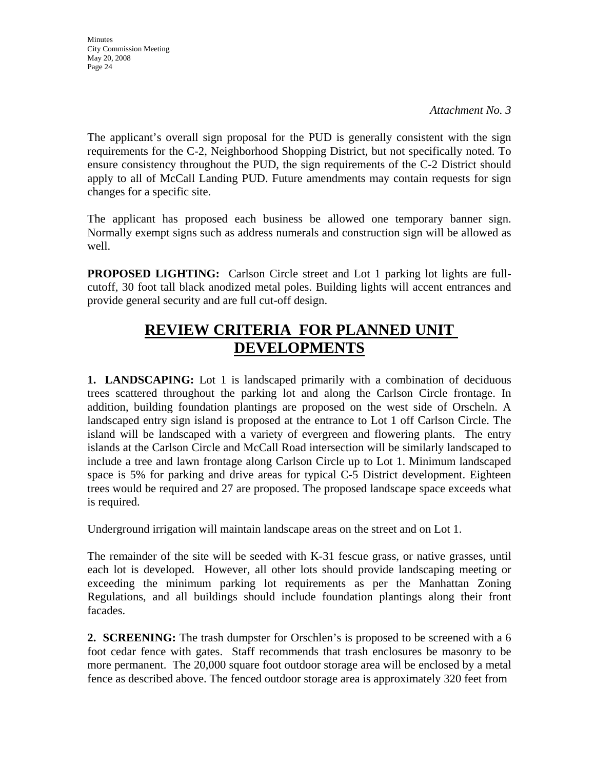*Attachment No. 3* 

The applicant's overall sign proposal for the PUD is generally consistent with the sign requirements for the C-2, Neighborhood Shopping District, but not specifically noted. To ensure consistency throughout the PUD, the sign requirements of the C-2 District should apply to all of McCall Landing PUD. Future amendments may contain requests for sign changes for a specific site.

The applicant has proposed each business be allowed one temporary banner sign. Normally exempt signs such as address numerals and construction sign will be allowed as well.

**PROPOSED LIGHTING:** Carlson Circle street and Lot 1 parking lot lights are fullcutoff, 30 foot tall black anodized metal poles. Building lights will accent entrances and provide general security and are full cut-off design.

# **REVIEW CRITERIA FOR PLANNED UNIT DEVELOPMENTS**

**1. LANDSCAPING:** Lot 1 is landscaped primarily with a combination of deciduous trees scattered throughout the parking lot and along the Carlson Circle frontage. In addition, building foundation plantings are proposed on the west side of Orscheln. A landscaped entry sign island is proposed at the entrance to Lot 1 off Carlson Circle. The island will be landscaped with a variety of evergreen and flowering plants. The entry islands at the Carlson Circle and McCall Road intersection will be similarly landscaped to include a tree and lawn frontage along Carlson Circle up to Lot 1. Minimum landscaped space is 5% for parking and drive areas for typical C-5 District development. Eighteen trees would be required and 27 are proposed. The proposed landscape space exceeds what is required.

Underground irrigation will maintain landscape areas on the street and on Lot 1.

The remainder of the site will be seeded with K-31 fescue grass, or native grasses, until each lot is developed. However, all other lots should provide landscaping meeting or exceeding the minimum parking lot requirements as per the Manhattan Zoning Regulations, and all buildings should include foundation plantings along their front facades.

**2. SCREENING:** The trash dumpster for Orschlen's is proposed to be screened with a 6 foot cedar fence with gates. Staff recommends that trash enclosures be masonry to be more permanent. The 20,000 square foot outdoor storage area will be enclosed by a metal fence as described above. The fenced outdoor storage area is approximately 320 feet from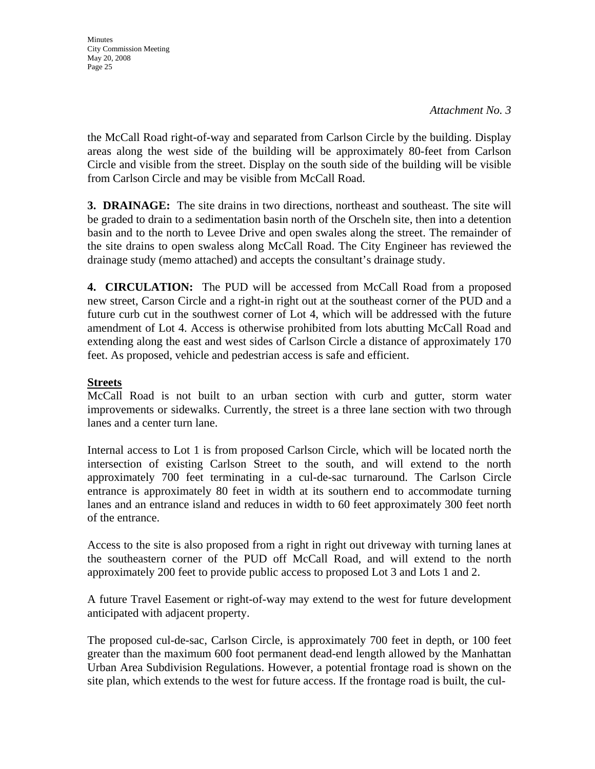**Minutes** City Commission Meeting May 20, 2008 Page 25

the McCall Road right-of-way and separated from Carlson Circle by the building. Display areas along the west side of the building will be approximately 80-feet from Carlson Circle and visible from the street. Display on the south side of the building will be visible from Carlson Circle and may be visible from McCall Road.

**3. DRAINAGE:** The site drains in two directions, northeast and southeast. The site will be graded to drain to a sedimentation basin north of the Orscheln site, then into a detention basin and to the north to Levee Drive and open swales along the street. The remainder of the site drains to open swaless along McCall Road. The City Engineer has reviewed the drainage study (memo attached) and accepts the consultant's drainage study.

**4. CIRCULATION:** The PUD will be accessed from McCall Road from a proposed new street, Carson Circle and a right-in right out at the southeast corner of the PUD and a future curb cut in the southwest corner of Lot 4, which will be addressed with the future amendment of Lot 4. Access is otherwise prohibited from lots abutting McCall Road and extending along the east and west sides of Carlson Circle a distance of approximately 170 feet. As proposed, vehicle and pedestrian access is safe and efficient.

#### **Streets**

McCall Road is not built to an urban section with curb and gutter, storm water improvements or sidewalks. Currently, the street is a three lane section with two through lanes and a center turn lane.

Internal access to Lot 1 is from proposed Carlson Circle, which will be located north the intersection of existing Carlson Street to the south, and will extend to the north approximately 700 feet terminating in a cul-de-sac turnaround. The Carlson Circle entrance is approximately 80 feet in width at its southern end to accommodate turning lanes and an entrance island and reduces in width to 60 feet approximately 300 feet north of the entrance.

Access to the site is also proposed from a right in right out driveway with turning lanes at the southeastern corner of the PUD off McCall Road, and will extend to the north approximately 200 feet to provide public access to proposed Lot 3 and Lots 1 and 2.

A future Travel Easement or right-of-way may extend to the west for future development anticipated with adjacent property.

The proposed cul-de-sac, Carlson Circle, is approximately 700 feet in depth, or 100 feet greater than the maximum 600 foot permanent dead-end length allowed by the Manhattan Urban Area Subdivision Regulations. However, a potential frontage road is shown on the site plan, which extends to the west for future access. If the frontage road is built, the cul-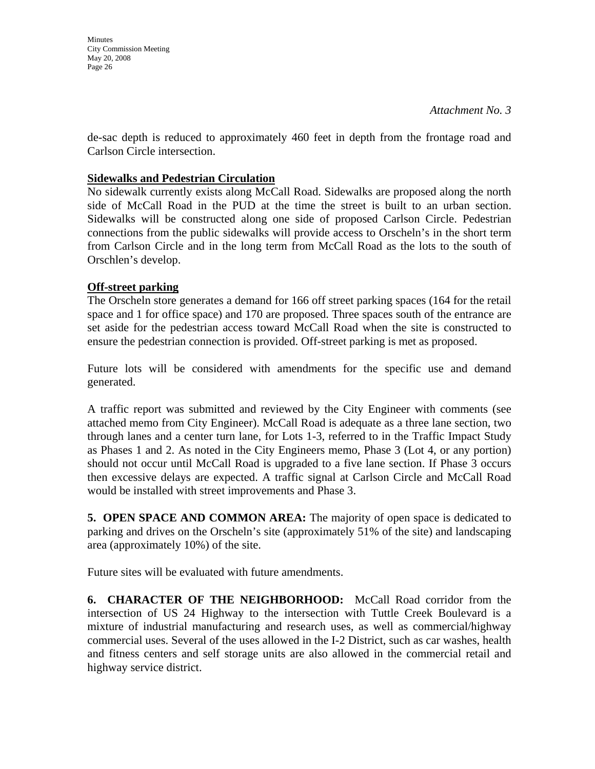**Minutes** City Commission Meeting May 20, 2008 Page 26

de-sac depth is reduced to approximately 460 feet in depth from the frontage road and Carlson Circle intersection.

## **Sidewalks and Pedestrian Circulation**

No sidewalk currently exists along McCall Road. Sidewalks are proposed along the north side of McCall Road in the PUD at the time the street is built to an urban section. Sidewalks will be constructed along one side of proposed Carlson Circle. Pedestrian connections from the public sidewalks will provide access to Orscheln's in the short term from Carlson Circle and in the long term from McCall Road as the lots to the south of Orschlen's develop.

# **Off-street parking**

The Orscheln store generates a demand for 166 off street parking spaces (164 for the retail space and 1 for office space) and 170 are proposed. Three spaces south of the entrance are set aside for the pedestrian access toward McCall Road when the site is constructed to ensure the pedestrian connection is provided. Off-street parking is met as proposed.

Future lots will be considered with amendments for the specific use and demand generated.

A traffic report was submitted and reviewed by the City Engineer with comments (see attached memo from City Engineer). McCall Road is adequate as a three lane section, two through lanes and a center turn lane, for Lots 1-3, referred to in the Traffic Impact Study as Phases 1 and 2. As noted in the City Engineers memo, Phase 3 (Lot 4, or any portion) should not occur until McCall Road is upgraded to a five lane section. If Phase 3 occurs then excessive delays are expected. A traffic signal at Carlson Circle and McCall Road would be installed with street improvements and Phase 3.

**5. OPEN SPACE AND COMMON AREA:** The majority of open space is dedicated to parking and drives on the Orscheln's site (approximately 51% of the site) and landscaping area (approximately 10%) of the site.

Future sites will be evaluated with future amendments.

**6. CHARACTER OF THE NEIGHBORHOOD:** McCall Road corridor from the intersection of US 24 Highway to the intersection with Tuttle Creek Boulevard is a mixture of industrial manufacturing and research uses, as well as commercial/highway commercial uses. Several of the uses allowed in the I-2 District, such as car washes, health and fitness centers and self storage units are also allowed in the commercial retail and highway service district.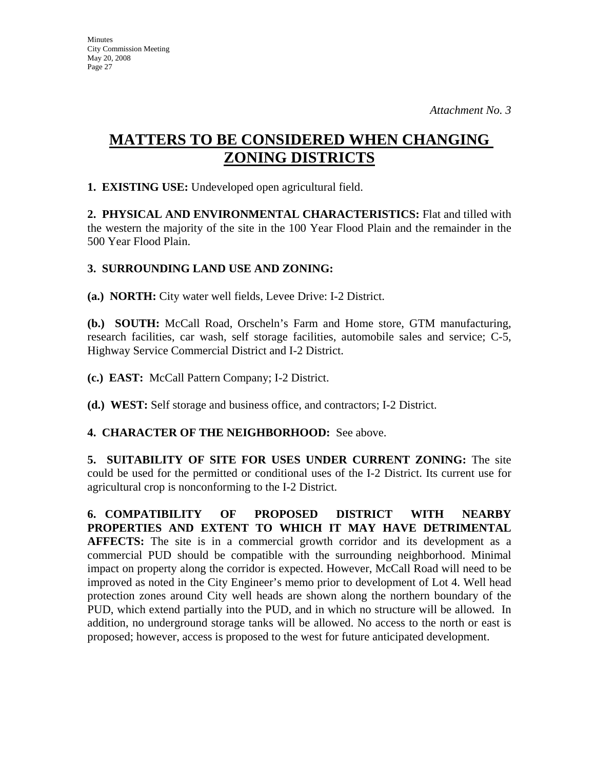# **MATTERS TO BE CONSIDERED WHEN CHANGING ZONING DISTRICTS**

**1. EXISTING USE:** Undeveloped open agricultural field.

**2. PHYSICAL AND ENVIRONMENTAL CHARACTERISTICS:** Flat and tilled with the western the majority of the site in the 100 Year Flood Plain and the remainder in the 500 Year Flood Plain.

# **3. SURROUNDING LAND USE AND ZONING:**

**(a.) NORTH:** City water well fields, Levee Drive: I-2 District.

**(b.) SOUTH:** McCall Road, Orscheln's Farm and Home store, GTM manufacturing, research facilities, car wash, self storage facilities, automobile sales and service; C-5, Highway Service Commercial District and I-2 District.

**(c.) EAST:** McCall Pattern Company; I-2 District.

**(d.) WEST:** Self storage and business office, and contractors; I-2 District.

## **4. CHARACTER OF THE NEIGHBORHOOD:** See above.

**5. SUITABILITY OF SITE FOR USES UNDER CURRENT ZONING:** The site could be used for the permitted or conditional uses of the I-2 District. Its current use for agricultural crop is nonconforming to the I-2 District.

**6. COMPATIBILITY OF PROPOSED DISTRICT WITH NEARBY PROPERTIES AND EXTENT TO WHICH IT MAY HAVE DETRIMENTAL AFFECTS:** The site is in a commercial growth corridor and its development as a commercial PUD should be compatible with the surrounding neighborhood. Minimal impact on property along the corridor is expected. However, McCall Road will need to be improved as noted in the City Engineer's memo prior to development of Lot 4. Well head protection zones around City well heads are shown along the northern boundary of the PUD, which extend partially into the PUD, and in which no structure will be allowed. In addition, no underground storage tanks will be allowed. No access to the north or east is proposed; however, access is proposed to the west for future anticipated development.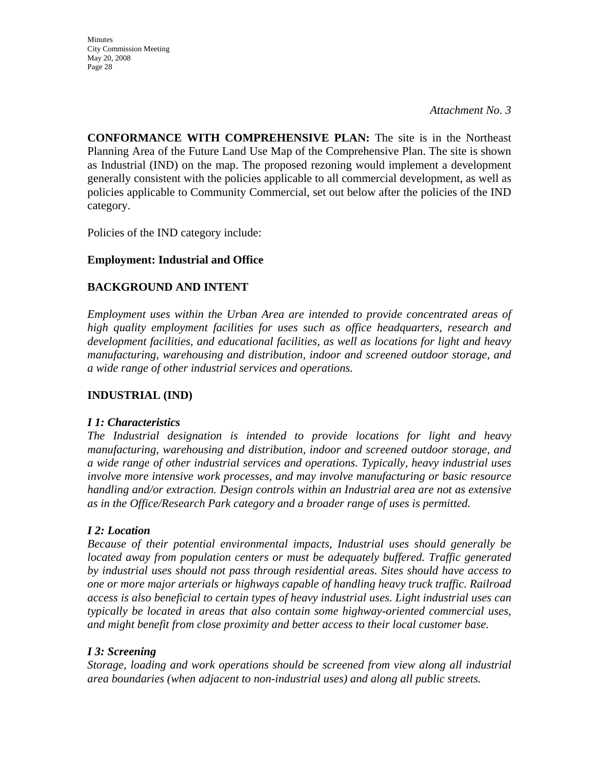*Attachment No. 3* 

**CONFORMANCE WITH COMPREHENSIVE PLAN:** The site is in the Northeast Planning Area of the Future Land Use Map of the Comprehensive Plan. The site is shown as Industrial (IND) on the map. The proposed rezoning would implement a development generally consistent with the policies applicable to all commercial development, as well as policies applicable to Community Commercial, set out below after the policies of the IND category.

Policies of the IND category include:

# **Employment: Industrial and Office**

# **BACKGROUND AND INTENT**

*Employment uses within the Urban Area are intended to provide concentrated areas of high quality employment facilities for uses such as office headquarters, research and development facilities, and educational facilities, as well as locations for light and heavy manufacturing, warehousing and distribution, indoor and screened outdoor storage, and a wide range of other industrial services and operations.* 

## **INDUSTRIAL (IND)**

#### *I 1: Characteristics*

*The Industrial designation is intended to provide locations for light and heavy manufacturing, warehousing and distribution, indoor and screened outdoor storage, and a wide range of other industrial services and operations. Typically, heavy industrial uses involve more intensive work processes, and may involve manufacturing or basic resource handling and/or extraction. Design controls within an Industrial area are not as extensive as in the Office/Research Park category and a broader range of uses is permitted.* 

## *I 2: Location*

*Because of their potential environmental impacts, Industrial uses should generally be located away from population centers or must be adequately buffered. Traffic generated by industrial uses should not pass through residential areas. Sites should have access to one or more major arterials or highways capable of handling heavy truck traffic. Railroad access is also beneficial to certain types of heavy industrial uses. Light industrial uses can typically be located in areas that also contain some highway-oriented commercial uses, and might benefit from close proximity and better access to their local customer base.* 

## *I 3: Screening*

*Storage, loading and work operations should be screened from view along all industrial area boundaries (when adjacent to non-industrial uses) and along all public streets.*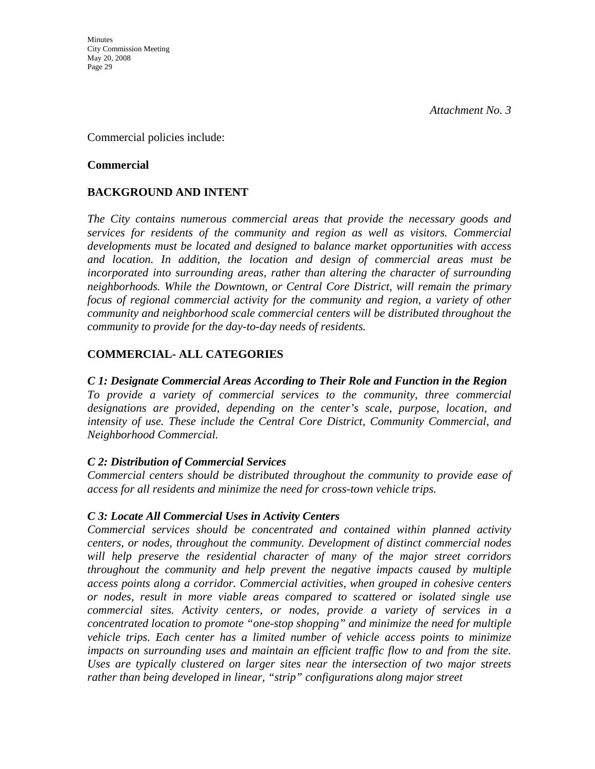Commercial policies include:

#### **Commercial**

# **BACKGROUND AND INTENT**

*The City contains numerous commercial areas that provide the necessary goods and services for residents of the community and region as well as visitors. Commercial developments must be located and designed to balance market opportunities with access and location. In addition, the location and design of commercial areas must be incorporated into surrounding areas, rather than altering the character of surrounding neighborhoods. While the Downtown, or Central Core District, will remain the primary focus of regional commercial activity for the community and region, a variety of other community and neighborhood scale commercial centers will be distributed throughout the community to provide for the day-to-day needs of residents.* 

# **COMMERCIAL- ALL CATEGORIES**

## *C 1: Designate Commercial Areas According to Their Role and Function in the Region*

*To provide a variety of commercial services to the community, three commercial designations are provided, depending on the center's scale, purpose, location, and intensity of use. These include the Central Core District, Community Commercial, and Neighborhood Commercial.* 

## *C 2: Distribution of Commercial Services*

*Commercial centers should be distributed throughout the community to provide ease of access for all residents and minimize the need for cross-town vehicle trips.* 

## *C 3: Locate All Commercial Uses in Activity Centers*

*Commercial services should be concentrated and contained within planned activity centers, or nodes, throughout the community. Development of distinct commercial nodes will help preserve the residential character of many of the major street corridors throughout the community and help prevent the negative impacts caused by multiple access points along a corridor. Commercial activities, when grouped in cohesive centers or nodes, result in more viable areas compared to scattered or isolated single use commercial sites. Activity centers, or nodes, provide a variety of services in a concentrated location to promote "one-stop shopping" and minimize the need for multiple vehicle trips. Each center has a limited number of vehicle access points to minimize*  impacts on surrounding uses and maintain an efficient traffic flow to and from the site. *Uses are typically clustered on larger sites near the intersection of two major streets rather than being developed in linear, "strip" configurations along major street*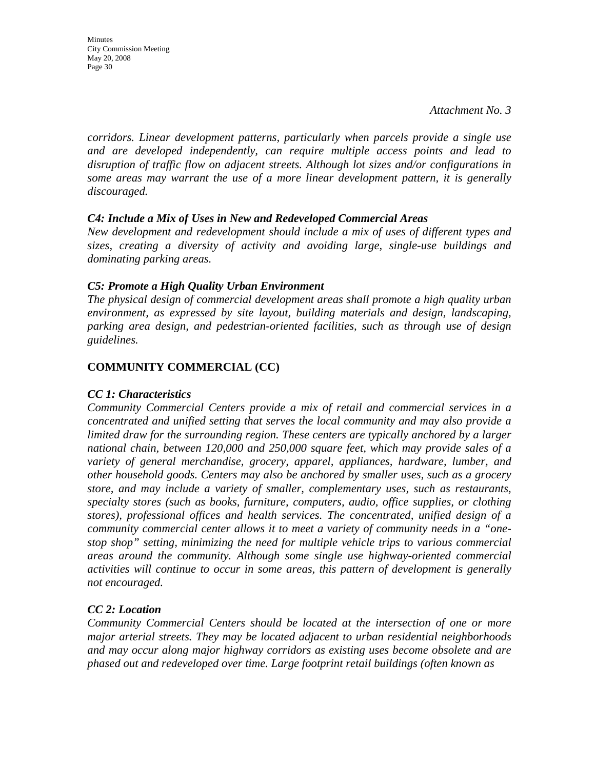Minutes City Commission Meeting May 20, 2008 Page 30

*corridors. Linear development patterns, particularly when parcels provide a single use and are developed independently, can require multiple access points and lead to disruption of traffic flow on adjacent streets. Although lot sizes and/or configurations in some areas may warrant the use of a more linear development pattern, it is generally discouraged.* 

#### *C4: Include a Mix of Uses in New and Redeveloped Commercial Areas*

*New development and redevelopment should include a mix of uses of different types and sizes, creating a diversity of activity and avoiding large, single-use buildings and dominating parking areas.* 

#### *C5: Promote a High Quality Urban Environment*

*The physical design of commercial development areas shall promote a high quality urban environment, as expressed by site layout, building materials and design, landscaping, parking area design, and pedestrian-oriented facilities, such as through use of design guidelines.*

## **COMMUNITY COMMERCIAL (CC)**

## *CC 1: Characteristics*

*Community Commercial Centers provide a mix of retail and commercial services in a concentrated and unified setting that serves the local community and may also provide a limited draw for the surrounding region. These centers are typically anchored by a larger national chain, between 120,000 and 250,000 square feet, which may provide sales of a variety of general merchandise, grocery, apparel, appliances, hardware, lumber, and other household goods. Centers may also be anchored by smaller uses, such as a grocery store, and may include a variety of smaller, complementary uses, such as restaurants, specialty stores (such as books, furniture, computers, audio, office supplies, or clothing stores), professional offices and health services. The concentrated, unified design of a community commercial center allows it to meet a variety of community needs in a "onestop shop" setting, minimizing the need for multiple vehicle trips to various commercial areas around the community. Although some single use highway-oriented commercial activities will continue to occur in some areas, this pattern of development is generally not encouraged.* 

## *CC 2: Location*

*Community Commercial Centers should be located at the intersection of one or more major arterial streets. They may be located adjacent to urban residential neighborhoods and may occur along major highway corridors as existing uses become obsolete and are phased out and redeveloped over time. Large footprint retail buildings (often known as*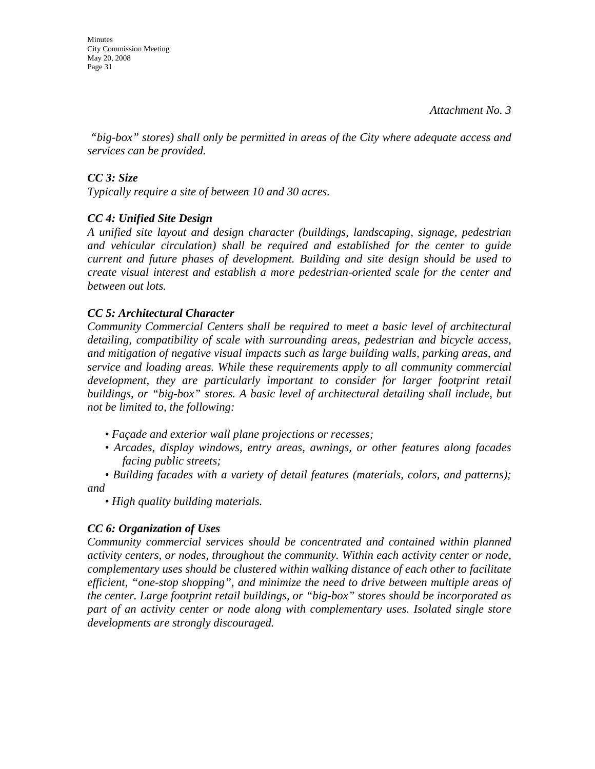Minutes City Commission Meeting May 20, 2008 Page 31

 *"big-box" stores) shall only be permitted in areas of the City where adequate access and services can be provided.* 

## *CC 3: Size*

*Typically require a site of between 10 and 30 acres.* 

# *CC 4: Unified Site Design*

*A unified site layout and design character (buildings, landscaping, signage, pedestrian and vehicular circulation) shall be required and established for the center to guide current and future phases of development. Building and site design should be used to create visual interest and establish a more pedestrian-oriented scale for the center and between out lots.* 

## *CC 5: Architectural Character*

*Community Commercial Centers shall be required to meet a basic level of architectural detailing, compatibility of scale with surrounding areas, pedestrian and bicycle access, and mitigation of negative visual impacts such as large building walls, parking areas, and service and loading areas. While these requirements apply to all community commercial*  development, they are particularly important to consider for larger footprint retail *buildings, or "big-box" stores. A basic level of architectural detailing shall include, but not be limited to, the following:* 

- *Façade and exterior wall plane projections or recesses;*
- *Arcades, display windows, entry areas, awnings, or other features along facades facing public streets;*

*• Building facades with a variety of detail features (materials, colors, and patterns); and* 

*• High quality building materials.* 

## *CC 6: Organization of Uses*

*Community commercial services should be concentrated and contained within planned activity centers, or nodes, throughout the community. Within each activity center or node, complementary uses should be clustered within walking distance of each other to facilitate efficient, "one-stop shopping", and minimize the need to drive between multiple areas of the center. Large footprint retail buildings, or "big-box" stores should be incorporated as part of an activity center or node along with complementary uses. Isolated single store developments are strongly discouraged.*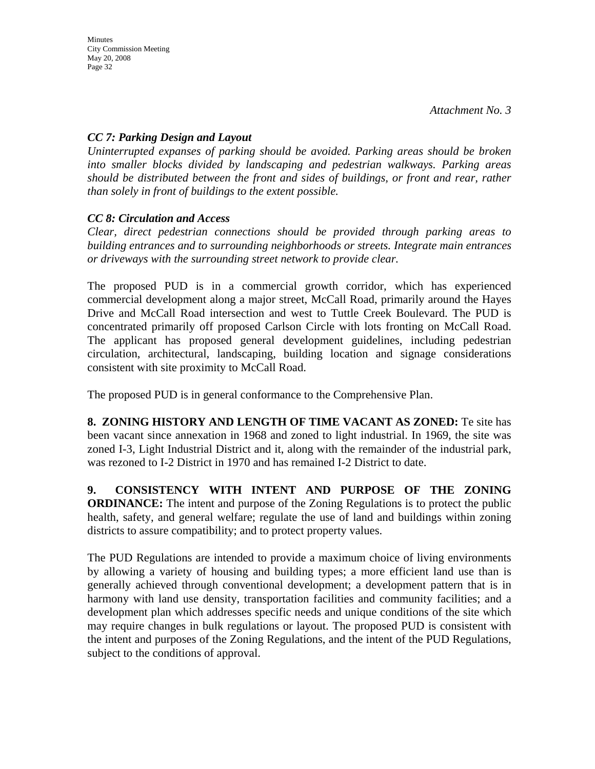## *CC 7: Parking Design and Layout*

*Uninterrupted expanses of parking should be avoided. Parking areas should be broken into smaller blocks divided by landscaping and pedestrian walkways. Parking areas should be distributed between the front and sides of buildings, or front and rear, rather than solely in front of buildings to the extent possible.* 

# *CC 8: Circulation and Access*

*Clear, direct pedestrian connections should be provided through parking areas to building entrances and to surrounding neighborhoods or streets. Integrate main entrances or driveways with the surrounding street network to provide clear.* 

The proposed PUD is in a commercial growth corridor, which has experienced commercial development along a major street, McCall Road, primarily around the Hayes Drive and McCall Road intersection and west to Tuttle Creek Boulevard. The PUD is concentrated primarily off proposed Carlson Circle with lots fronting on McCall Road. The applicant has proposed general development guidelines, including pedestrian circulation, architectural, landscaping, building location and signage considerations consistent with site proximity to McCall Road.

The proposed PUD is in general conformance to the Comprehensive Plan.

**8. ZONING HISTORY AND LENGTH OF TIME VACANT AS ZONED:** Te site has been vacant since annexation in 1968 and zoned to light industrial. In 1969, the site was zoned I-3, Light Industrial District and it, along with the remainder of the industrial park, was rezoned to I-2 District in 1970 and has remained I-2 District to date.

**9. CONSISTENCY WITH INTENT AND PURPOSE OF THE ZONING ORDINANCE:** The intent and purpose of the Zoning Regulations is to protect the public health, safety, and general welfare; regulate the use of land and buildings within zoning districts to assure compatibility; and to protect property values.

The PUD Regulations are intended to provide a maximum choice of living environments by allowing a variety of housing and building types; a more efficient land use than is generally achieved through conventional development; a development pattern that is in harmony with land use density, transportation facilities and community facilities; and a development plan which addresses specific needs and unique conditions of the site which may require changes in bulk regulations or layout. The proposed PUD is consistent with the intent and purposes of the Zoning Regulations, and the intent of the PUD Regulations, subject to the conditions of approval.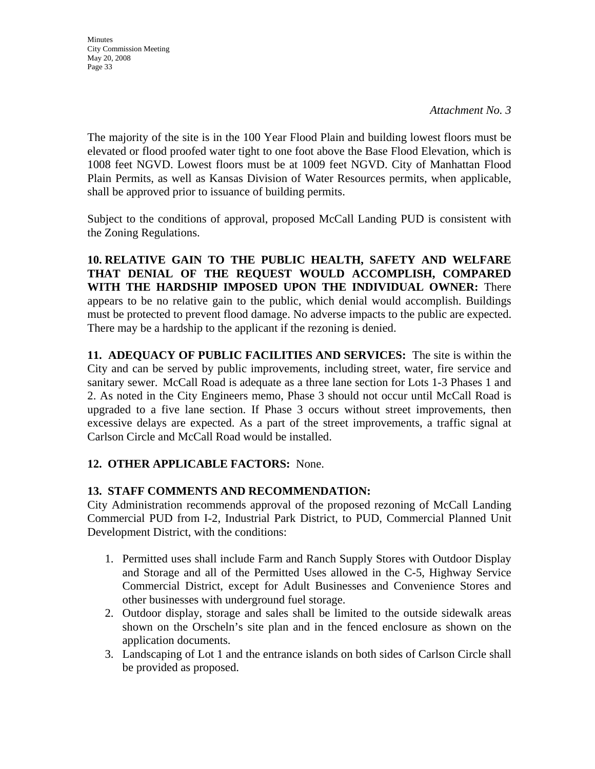**Minutes** City Commission Meeting May 20, 2008 Page 33

The majority of the site is in the 100 Year Flood Plain and building lowest floors must be elevated or flood proofed water tight to one foot above the Base Flood Elevation, which is 1008 feet NGVD. Lowest floors must be at 1009 feet NGVD. City of Manhattan Flood Plain Permits, as well as Kansas Division of Water Resources permits, when applicable, shall be approved prior to issuance of building permits.

Subject to the conditions of approval, proposed McCall Landing PUD is consistent with the Zoning Regulations.

**10. RELATIVE GAIN TO THE PUBLIC HEALTH, SAFETY AND WELFARE THAT DENIAL OF THE REQUEST WOULD ACCOMPLISH, COMPARED WITH THE HARDSHIP IMPOSED UPON THE INDIVIDUAL OWNER:** There appears to be no relative gain to the public, which denial would accomplish. Buildings must be protected to prevent flood damage. No adverse impacts to the public are expected. There may be a hardship to the applicant if the rezoning is denied.

**11. ADEQUACY OF PUBLIC FACILITIES AND SERVICES:** The site is within the City and can be served by public improvements, including street, water, fire service and sanitary sewer. McCall Road is adequate as a three lane section for Lots 1-3 Phases 1 and 2. As noted in the City Engineers memo, Phase 3 should not occur until McCall Road is upgraded to a five lane section. If Phase 3 occurs without street improvements, then excessive delays are expected. As a part of the street improvements, a traffic signal at Carlson Circle and McCall Road would be installed.

# **12. OTHER APPLICABLE FACTORS:** None.

## **13. STAFF COMMENTS AND RECOMMENDATION:**

City Administration recommends approval of the proposed rezoning of McCall Landing Commercial PUD from I-2, Industrial Park District, to PUD, Commercial Planned Unit Development District, with the conditions:

- 1. Permitted uses shall include Farm and Ranch Supply Stores with Outdoor Display and Storage and all of the Permitted Uses allowed in the C-5, Highway Service Commercial District, except for Adult Businesses and Convenience Stores and other businesses with underground fuel storage.
- 2. Outdoor display, storage and sales shall be limited to the outside sidewalk areas shown on the Orscheln's site plan and in the fenced enclosure as shown on the application documents.
- 3. Landscaping of Lot 1 and the entrance islands on both sides of Carlson Circle shall be provided as proposed.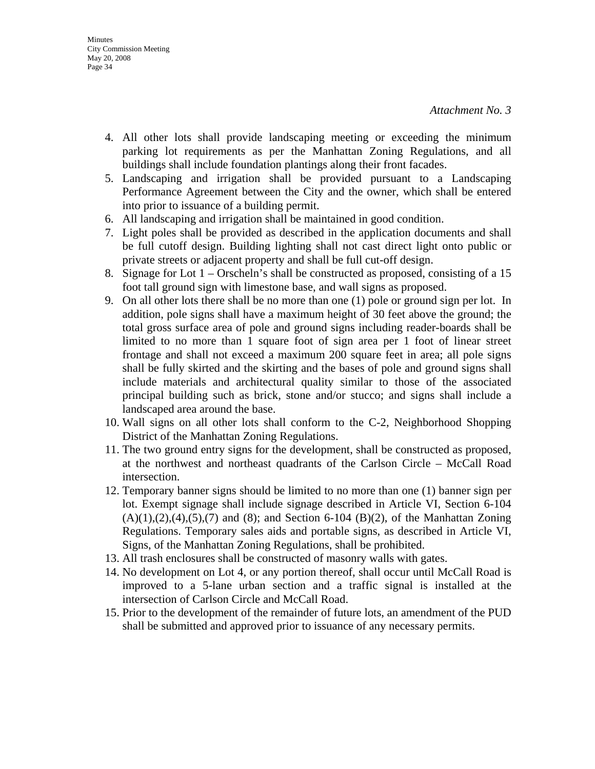- 4. All other lots shall provide landscaping meeting or exceeding the minimum parking lot requirements as per the Manhattan Zoning Regulations, and all buildings shall include foundation plantings along their front facades.
- 5. Landscaping and irrigation shall be provided pursuant to a Landscaping Performance Agreement between the City and the owner, which shall be entered into prior to issuance of a building permit.
- 6. All landscaping and irrigation shall be maintained in good condition.
- 7. Light poles shall be provided as described in the application documents and shall be full cutoff design. Building lighting shall not cast direct light onto public or private streets or adjacent property and shall be full cut-off design.
- 8. Signage for Lot 1 Orscheln's shall be constructed as proposed, consisting of a 15 foot tall ground sign with limestone base, and wall signs as proposed.
- 9. On all other lots there shall be no more than one (1) pole or ground sign per lot. In addition, pole signs shall have a maximum height of 30 feet above the ground; the total gross surface area of pole and ground signs including reader-boards shall be limited to no more than 1 square foot of sign area per 1 foot of linear street frontage and shall not exceed a maximum 200 square feet in area; all pole signs shall be fully skirted and the skirting and the bases of pole and ground signs shall include materials and architectural quality similar to those of the associated principal building such as brick, stone and/or stucco; and signs shall include a landscaped area around the base.
- 10. Wall signs on all other lots shall conform to the C-2, Neighborhood Shopping District of the Manhattan Zoning Regulations.
- 11. The two ground entry signs for the development, shall be constructed as proposed, at the northwest and northeast quadrants of the Carlson Circle – McCall Road intersection.
- 12. Temporary banner signs should be limited to no more than one (1) banner sign per lot. Exempt signage shall include signage described in Article VI, Section 6-104  $(A)(1),(2),(4),(5),(7)$  and  $(8)$ ; and Section 6-104  $(B)(2)$ , of the Manhattan Zoning Regulations. Temporary sales aids and portable signs, as described in Article VI, Signs, of the Manhattan Zoning Regulations, shall be prohibited.
- 13. All trash enclosures shall be constructed of masonry walls with gates.
- 14. No development on Lot 4, or any portion thereof, shall occur until McCall Road is improved to a 5-lane urban section and a traffic signal is installed at the intersection of Carlson Circle and McCall Road.
- 15. Prior to the development of the remainder of future lots, an amendment of the PUD shall be submitted and approved prior to issuance of any necessary permits.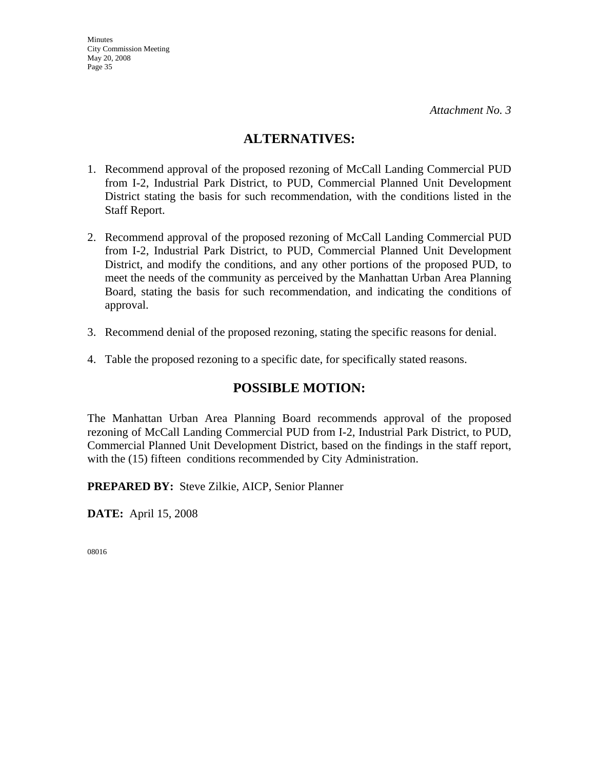# **ALTERNATIVES:**

- 1. Recommend approval of the proposed rezoning of McCall Landing Commercial PUD from I-2, Industrial Park District, to PUD, Commercial Planned Unit Development District stating the basis for such recommendation, with the conditions listed in the Staff Report.
- 2. Recommend approval of the proposed rezoning of McCall Landing Commercial PUD from I-2, Industrial Park District, to PUD, Commercial Planned Unit Development District, and modify the conditions, and any other portions of the proposed PUD, to meet the needs of the community as perceived by the Manhattan Urban Area Planning Board, stating the basis for such recommendation, and indicating the conditions of approval.
- 3. Recommend denial of the proposed rezoning, stating the specific reasons for denial.
- 4. Table the proposed rezoning to a specific date, for specifically stated reasons.

# **POSSIBLE MOTION:**

The Manhattan Urban Area Planning Board recommends approval of the proposed rezoning of McCall Landing Commercial PUD from I-2, Industrial Park District, to PUD, Commercial Planned Unit Development District, based on the findings in the staff report, with the (15) fifteen conditions recommended by City Administration.

**PREPARED BY:** Steve Zilkie, AICP, Senior Planner

**DATE:** April 15, 2008

08016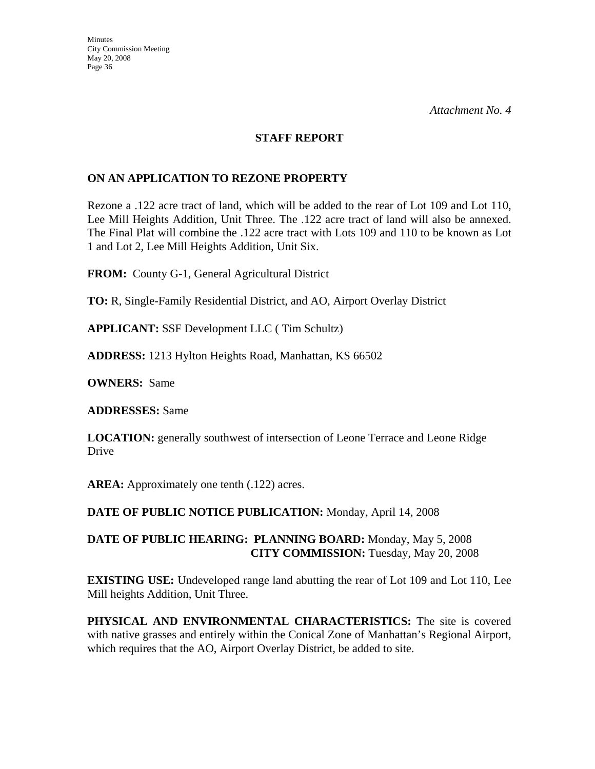#### **STAFF REPORT**

## **ON AN APPLICATION TO REZONE PROPERTY**

Rezone a .122 acre tract of land, which will be added to the rear of Lot 109 and Lot 110, Lee Mill Heights Addition, Unit Three. The .122 acre tract of land will also be annexed. The Final Plat will combine the .122 acre tract with Lots 109 and 110 to be known as Lot 1 and Lot 2, Lee Mill Heights Addition, Unit Six.

**FROM:** County G-1, General Agricultural District

**TO:** R, Single-Family Residential District, and AO, Airport Overlay District

**APPLICANT:** SSF Development LLC ( Tim Schultz)

**ADDRESS:** 1213 Hylton Heights Road, Manhattan, KS 66502

**OWNERS:** Same

**ADDRESSES:** Same

**LOCATION:** generally southwest of intersection of Leone Terrace and Leone Ridge Drive

**AREA:** Approximately one tenth (.122) acres.

**DATE OF PUBLIC NOTICE PUBLICATION:** Monday, April 14, 2008

**DATE OF PUBLIC HEARING: PLANNING BOARD:** Monday, May 5, 2008 **CITY COMMISSION:** Tuesday, May 20, 2008

**EXISTING USE:** Undeveloped range land abutting the rear of Lot 109 and Lot 110, Lee Mill heights Addition, Unit Three.

**PHYSICAL AND ENVIRONMENTAL CHARACTERISTICS:** The site is covered with native grasses and entirely within the Conical Zone of Manhattan's Regional Airport, which requires that the AO, Airport Overlay District, be added to site.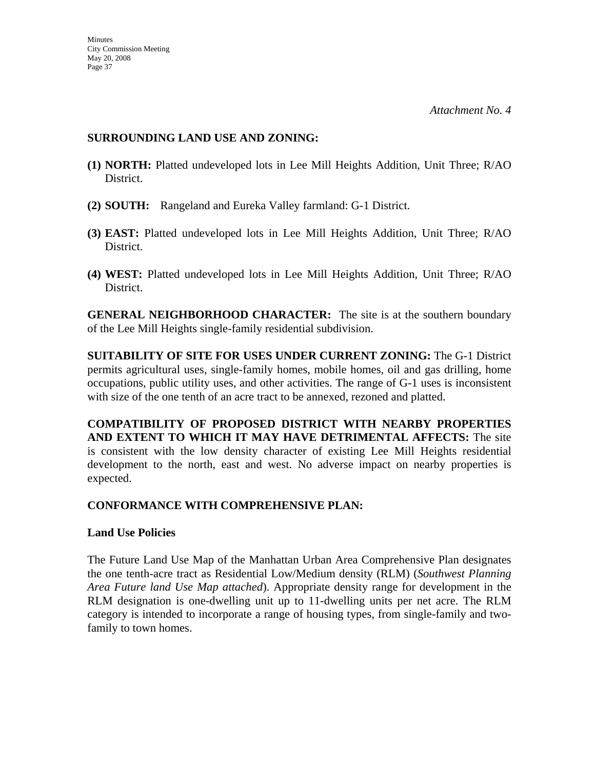#### **SURROUNDING LAND USE AND ZONING:**

- **(1) NORTH:** Platted undeveloped lots in Lee Mill Heights Addition, Unit Three; R/AO District.
- **(2) SOUTH:** Rangeland and Eureka Valley farmland: G-1 District.
- **(3) EAST:** Platted undeveloped lots in Lee Mill Heights Addition, Unit Three; R/AO District.
- **(4) WEST:** Platted undeveloped lots in Lee Mill Heights Addition, Unit Three; R/AO District.

**GENERAL NEIGHBORHOOD CHARACTER:** The site is at the southern boundary of the Lee Mill Heights single-family residential subdivision.

**SUITABILITY OF SITE FOR USES UNDER CURRENT ZONING:** The G-1 District permits agricultural uses, single-family homes, mobile homes, oil and gas drilling, home occupations, public utility uses, and other activities. The range of G-1 uses is inconsistent with size of the one tenth of an acre tract to be annexed, rezoned and platted.

**COMPATIBILITY OF PROPOSED DISTRICT WITH NEARBY PROPERTIES AND EXTENT TO WHICH IT MAY HAVE DETRIMENTAL AFFECTS:** The site is consistent with the low density character of existing Lee Mill Heights residential development to the north, east and west. No adverse impact on nearby properties is expected.

## **CONFORMANCE WITH COMPREHENSIVE PLAN:**

#### **Land Use Policies**

The Future Land Use Map of the Manhattan Urban Area Comprehensive Plan designates the one tenth-acre tract as Residential Low/Medium density (RLM) (*Southwest Planning Area Future land Use Map attached*). Appropriate density range for development in the RLM designation is one-dwelling unit up to 11-dwelling units per net acre. The RLM category is intended to incorporate a range of housing types, from single-family and twofamily to town homes.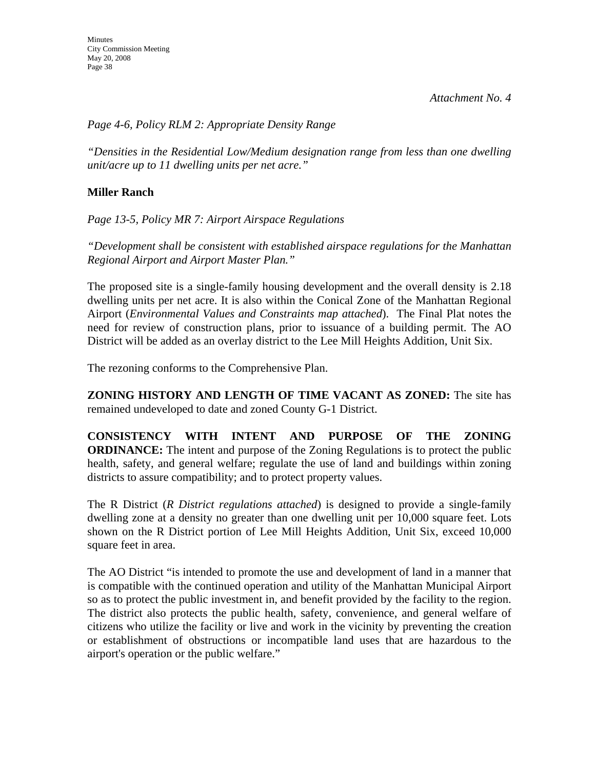# *Page 4-6, Policy RLM 2: Appropriate Density Range*

*"Densities in the Residential Low/Medium designation range from less than one dwelling unit/acre up to 11 dwelling units per net acre."*

# **Miller Ranch**

*Page 13-5, Policy MR 7: Airport Airspace Regulations* 

*"Development shall be consistent with established airspace regulations for the Manhattan Regional Airport and Airport Master Plan."* 

The proposed site is a single-family housing development and the overall density is 2.18 dwelling units per net acre. It is also within the Conical Zone of the Manhattan Regional Airport (*Environmental Values and Constraints map attached*). The Final Plat notes the need for review of construction plans, prior to issuance of a building permit. The AO District will be added as an overlay district to the Lee Mill Heights Addition, Unit Six.

The rezoning conforms to the Comprehensive Plan.

**ZONING HISTORY AND LENGTH OF TIME VACANT AS ZONED:** The site has remained undeveloped to date and zoned County G-1 District.

**CONSISTENCY WITH INTENT AND PURPOSE OF THE ZONING ORDINANCE:** The intent and purpose of the Zoning Regulations is to protect the public health, safety, and general welfare; regulate the use of land and buildings within zoning districts to assure compatibility; and to protect property values.

The R District (*R District regulations attached*) is designed to provide a single-family dwelling zone at a density no greater than one dwelling unit per 10,000 square feet. Lots shown on the R District portion of Lee Mill Heights Addition, Unit Six, exceed 10,000 square feet in area.

The AO District "is intended to promote the use and development of land in a manner that is compatible with the continued operation and utility of the Manhattan Municipal Airport so as to protect the public investment in, and benefit provided by the facility to the region. The district also protects the public health, safety, convenience, and general welfare of citizens who utilize the facility or live and work in the vicinity by preventing the creation or establishment of obstructions or incompatible land uses that are hazardous to the airport's operation or the public welfare."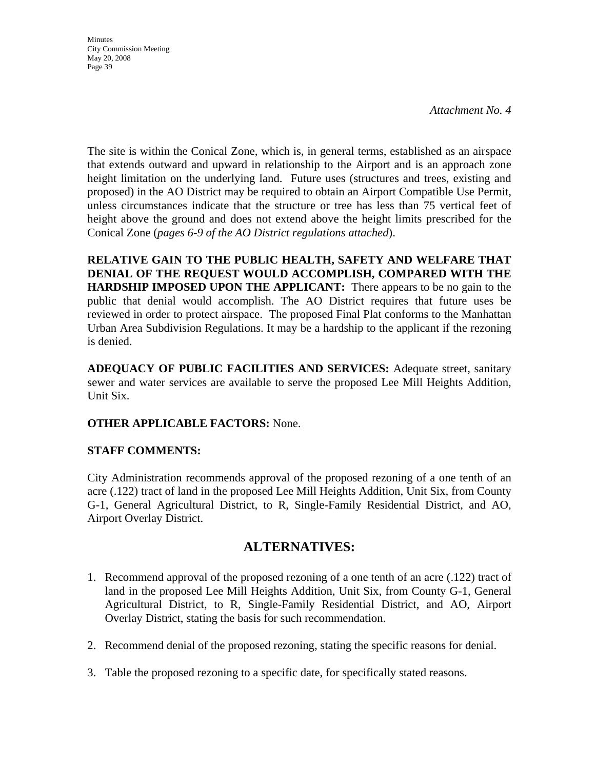**Minutes** City Commission Meeting May 20, 2008 Page 39

The site is within the Conical Zone, which is, in general terms, established as an airspace that extends outward and upward in relationship to the Airport and is an approach zone height limitation on the underlying land. Future uses (structures and trees, existing and proposed) in the AO District may be required to obtain an Airport Compatible Use Permit, unless circumstances indicate that the structure or tree has less than 75 vertical feet of height above the ground and does not extend above the height limits prescribed for the Conical Zone (*pages 6-9 of the AO District regulations attached*).

**RELATIVE GAIN TO THE PUBLIC HEALTH, SAFETY AND WELFARE THAT DENIAL OF THE REQUEST WOULD ACCOMPLISH, COMPARED WITH THE HARDSHIP IMPOSED UPON THE APPLICANT:** There appears to be no gain to the public that denial would accomplish. The AO District requires that future uses be reviewed in order to protect airspace. The proposed Final Plat conforms to the Manhattan Urban Area Subdivision Regulations. It may be a hardship to the applicant if the rezoning is denied.

**ADEQUACY OF PUBLIC FACILITIES AND SERVICES:** Adequate street, sanitary sewer and water services are available to serve the proposed Lee Mill Heights Addition, Unit Six.

## **OTHER APPLICABLE FACTORS:** None.

## **STAFF COMMENTS:**

City Administration recommends approval of the proposed rezoning of a one tenth of an acre (.122) tract of land in the proposed Lee Mill Heights Addition, Unit Six, from County G-1, General Agricultural District, to R, Single-Family Residential District, and AO, Airport Overlay District.

# **ALTERNATIVES:**

- 1. Recommend approval of the proposed rezoning of a one tenth of an acre (.122) tract of land in the proposed Lee Mill Heights Addition, Unit Six, from County G-1, General Agricultural District, to R, Single-Family Residential District, and AO, Airport Overlay District, stating the basis for such recommendation.
- 2. Recommend denial of the proposed rezoning, stating the specific reasons for denial.
- 3. Table the proposed rezoning to a specific date, for specifically stated reasons.